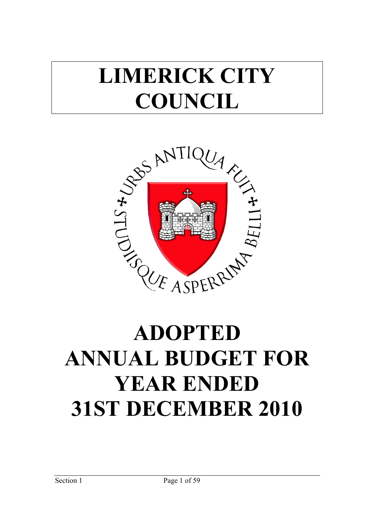# **LIMERICK CITY COUNCIL**



# **ANNUAL BUDGET FOR YEAR ENDED 31ST DECEMBER 2010**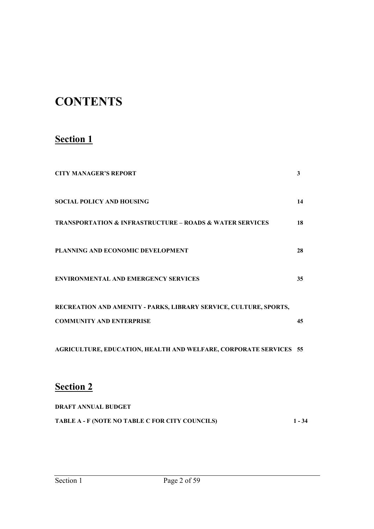# **CONTENTS**

# **Section 1**

| <b>CITY MANAGER'S REPORT</b>                                            | 3  |
|-------------------------------------------------------------------------|----|
| <b>SOCIAL POLICY AND HOUSING</b>                                        | 14 |
| <b>TRANSPORTATION &amp; INFRASTRUCTURE - ROADS &amp; WATER SERVICES</b> | 18 |
| PLANNING AND ECONOMIC DEVELOPMENT                                       | 28 |
| <b>ENVIRONMENTAL AND EMERGENCY SERVICES</b>                             | 35 |
| RECREATION AND AMENITY - PARKS, LIBRARY SERVICE, CULTURE, SPORTS,       |    |
| <b>COMMUNITY AND ENTERPRISE</b>                                         | 45 |
| AGRICULTURE, EDUCATION, HEALTH AND WELFARE, CORPORATE SERVICES 55       |    |
| <b>Section 2</b>                                                        |    |

| <b>DRAFT ANNUAL BUDGET</b>                      |          |
|-------------------------------------------------|----------|
| TABLE A - F (NOTE NO TABLE C FOR CITY COUNCILS) | $1 - 34$ |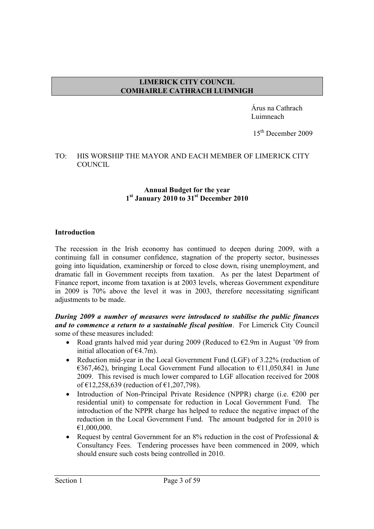# **LIMERICK CITY COUNCIL COMHAIRLE CATHRACH LUIMNIGH**

 Árus na Cathrach Luimneach

15<sup>th</sup> December 2009

#### TO: HIS WORSHIP THE MAYOR AND EACH MEMBER OF LIMERICK CITY COUNCIL

#### **Annual Budget for the year 1st January 2010 to 31st December 2010**

## **Introduction**

The recession in the Irish economy has continued to deepen during 2009, with a continuing fall in consumer confidence, stagnation of the property sector, businesses going into liquidation, examinership or forced to close down, rising unemployment, and dramatic fall in Government receipts from taxation. As per the latest Department of Finance report, income from taxation is at 2003 levels, whereas Government expenditure in 2009 is 70% above the level it was in 2003, therefore necessitating significant adjustments to be made.

#### *During 2009 a number of measures were introduced to stabilise the public finances and to commence a return to a sustainable fiscal position*. For Limerick City Council some of these measures included:

- Road grants halved mid year during 2009 (Reduced to  $E2.9m$  in August '09 from initial allocation of  $E(4.7m)$ .
- Reduction mid-year in the Local Government Fund (LGF) of 3.22% (reduction of  $\epsilon$ 367,462), bringing Local Government Fund allocation to  $\epsilon$ 11,050,841 in June 2009. This revised is much lower compared to LGF allocation received for 2008 of €12,258,639 (reduction of €1,207,798).
- Introduction of Non-Principal Private Residence (NPPR) charge (i.e.  $\epsilon$ 200 per residential unit) to compensate for reduction in Local Government Fund. The introduction of the NPPR charge has helped to reduce the negative impact of the reduction in the Local Government Fund. The amount budgeted for in 2010 is €1,000,000.
- Request by central Government for an  $8\%$  reduction in the cost of Professional  $\&$ Consultancy Fees. Tendering processes have been commenced in 2009, which should ensure such costs being controlled in 2010.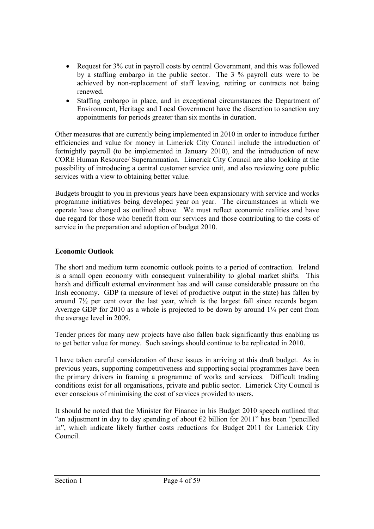- Request for 3% cut in payroll costs by central Government, and this was followed by a staffing embargo in the public sector. The 3 % payroll cuts were to be achieved by non-replacement of staff leaving, retiring or contracts not being renewed.
- Staffing embargo in place, and in exceptional circumstances the Department of Environment, Heritage and Local Government have the discretion to sanction any appointments for periods greater than six months in duration.

Other measures that are currently being implemented in 2010 in order to introduce further efficiencies and value for money in Limerick City Council include the introduction of fortnightly payroll (to be implemented in January 2010), and the introduction of new CORE Human Resource/ Superannuation. Limerick City Council are also looking at the possibility of introducing a central customer service unit, and also reviewing core public services with a view to obtaining better value.

Budgets brought to you in previous years have been expansionary with service and works programme initiatives being developed year on year. The circumstances in which we operate have changed as outlined above. We must reflect economic realities and have due regard for those who benefit from our services and those contributing to the costs of service in the preparation and adoption of budget 2010.

# **Economic Outlook**

The short and medium term economic outlook points to a period of contraction. Ireland is a small open economy with consequent vulnerability to global market shifts. This harsh and difficult external environment has and will cause considerable pressure on the Irish economy. GDP (a measure of level of productive output in the state) has fallen by around 7½ per cent over the last year, which is the largest fall since records began. Average GDP for 2010 as a whole is projected to be down by around 1¼ per cent from the average level in 2009.

Tender prices for many new projects have also fallen back significantly thus enabling us to get better value for money. Such savings should continue to be replicated in 2010.

I have taken careful consideration of these issues in arriving at this draft budget. As in previous years, supporting competitiveness and supporting social programmes have been the primary drivers in framing a programme of works and services. Difficult trading conditions exist for all organisations, private and public sector. Limerick City Council is ever conscious of minimising the cost of services provided to users.

It should be noted that the Minister for Finance in his Budget 2010 speech outlined that "an adjustment in day to day spending of about  $\epsilon$ 2 billion for 2011" has been "pencilled in", which indicate likely further costs reductions for Budget 2011 for Limerick City Council.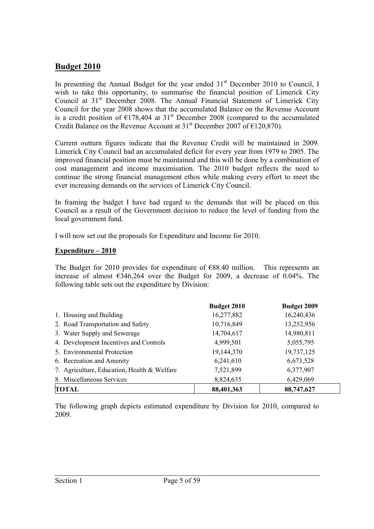# **Budget 2010**

In presenting the Annual Budget for the year ended  $31<sup>st</sup>$  December 2010 to Council, I wish to take this opportunity, to summarise the financial position of Limerick City Council at 31<sup>st</sup> December 2008. The Annual Financial Statement of Limerick City Council for the year 2008 shows that the accumulated Balance on the Revenue Account is a credit position of  $\epsilon$ 178,404 at 31<sup>st</sup> December 2008 (compared to the accumulated Credit Balance on the Revenue Account at  $31<sup>st</sup>$  December 2007 of  $\epsilon$ 120,870).

Current outturn figures indicate that the Revenue Credit will be maintained in 2009. Limerick City Council had an accumulated deficit for every year from 1979 to 2005. The improved financial position must be maintained and this will be done by a combination of cost management and income maximisation. The 2010 budget reflects the need to continue the strong financial management ethos while making every effort to meet the ever increasing demands on the services of Limerick City Council.

In framing the budget I have had regard to the demands that will be placed on this Council as a result of the Government decision to reduce the level of funding from the local government fund.

I will now set out the proposals for Expenditure and Income for 2010.

## **Expenditure – 2010**

The Budget for 2010 provides for expenditure of  $E$ 88.40 million. This represents an increase of almost  $6346,264$  over the Budget for 2009, a decrease of 0.04%. The following table sets out the expenditure by Division:

|                                             | <b>Budget 2010</b> | <b>Budget 2009</b> |
|---------------------------------------------|--------------------|--------------------|
| 1. Housing and Building                     | 16,277,882         | 16,240,436         |
| 2. Road Transportation and Safety           | 10,716,849         | 13,252,956         |
| 3. Water Supply and Sewerage                | 14,704,617         | 14,980,811         |
| 4. Development Incentives and Controls      | 4,999,501          | 5,055,795          |
| 5. Environmental Protection                 | 19,144,370         | 19,737,125         |
| 6. Recreation and Amenity                   | 6,241,610          | 6,673,528          |
| 7. Agriculture, Education, Health & Welfare | 7,521,899          | 6,377,907          |
| 8. Miscellaneous Services                   | 8,824,635          | 6,429,069          |
| <b>TOTAL</b>                                | 88,401,363         | 88,747,627         |

The following graph depicts estimated expenditure by Division for 2010, compared to 2009.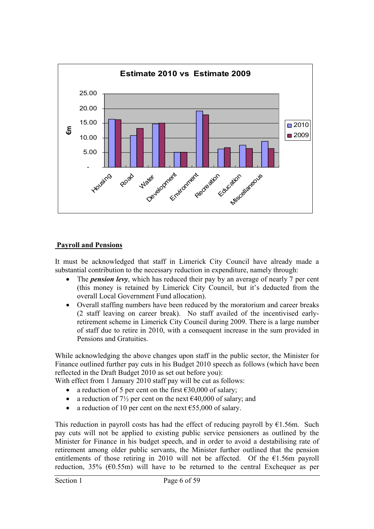

# **Payroll and Pensions**

It must be acknowledged that staff in Limerick City Council have already made a substantial contribution to the necessary reduction in expenditure, namely through:

- The *pension levy*, which has reduced their pay by an average of nearly 7 per cent (this money is retained by Limerick City Council, but it's deducted from the overall Local Government Fund allocation).
- Overall staffing numbers have been reduced by the moratorium and career breaks (2 staff leaving on career break). No staff availed of the incentivised earlyretirement scheme in Limerick City Council during 2009. There is a large number of staff due to retire in 2010, with a consequent increase in the sum provided in Pensions and Gratuities.

While acknowledging the above changes upon staff in the public sector, the Minister for Finance outlined further pay cuts in his Budget 2010 speech as follows (which have been reflected in the Draft Budget 2010 as set out before you):

With effect from 1 January 2010 staff pay will be cut as follows:

- a reduction of 5 per cent on the first  $\epsilon$ 30,000 of salary;
- a reduction of  $7\frac{1}{2}$  per cent on the next  $\epsilon$ 40,000 of salary; and
- a reduction of 10 per cent on the next  $\epsilon$ 55,000 of salary.

This reduction in payroll costs has had the effect of reducing payroll by  $E1.56m$ . Such pay cuts will not be applied to existing public service pensioners as outlined by the Minister for Finance in his budget speech, and in order to avoid a destabilising rate of retirement among older public servants, the Minister further outlined that the pension entitlements of those retiring in 2010 will not be affected. Of the  $E1.56m$  payroll reduction, 35% ( $\epsilon$ 0.55m) will have to be returned to the central Exchequer as per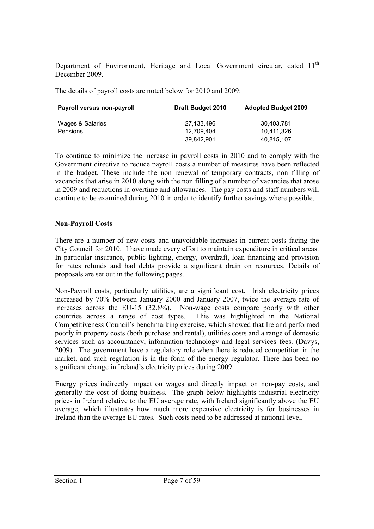Department of Environment, Heritage and Local Government circular, dated 11<sup>th</sup> December 2009.

The details of payroll costs are noted below for 2010 and 2009:

| <b>Payroll versus non-payroll</b> | <b>Draft Budget 2010</b> | <b>Adopted Budget 2009</b> |
|-----------------------------------|--------------------------|----------------------------|
| Wages & Salaries                  | 27,133,496               | 30,403,781                 |
| Pensions                          | 12.709.404               | 10.411.326                 |
|                                   | 39,842,901               | 40,815,107                 |

To continue to minimize the increase in payroll costs in 2010 and to comply with the Government directive to reduce payroll costs a number of measures have been reflected in the budget. These include the non renewal of temporary contracts, non filling of vacancies that arise in 2010 along with the non filling of a number of vacancies that arose in 2009 and reductions in overtime and allowances. The pay costs and staff numbers will continue to be examined during 2010 in order to identify further savings where possible.

# **Non-Payroll Costs**

There are a number of new costs and unavoidable increases in current costs facing the City Council for 2010. I have made every effort to maintain expenditure in critical areas. In particular insurance, public lighting, energy, overdraft, loan financing and provision for rates refunds and bad debts provide a significant drain on resources. Details of proposals are set out in the following pages.

Non-Payroll costs, particularly utilities, are a significant cost. Irish electricity prices increased by 70% between January 2000 and January 2007, twice the average rate of increases across the EU-15 (32.8%). Non-wage costs compare poorly with other countries across a range of cost types. This was highlighted in the National Competitiveness Council's benchmarking exercise, which showed that Ireland performed poorly in property costs (both purchase and rental), utilities costs and a range of domestic services such as accountancy, information technology and legal services fees. (Davys, 2009). The government have a regulatory role when there is reduced competition in the market, and such regulation is in the form of the energy regulator. There has been no significant change in Ireland's electricity prices during 2009.

Energy prices indirectly impact on wages and directly impact on non-pay costs, and generally the cost of doing business. The graph below highlights industrial electricity prices in Ireland relative to the EU average rate, with Ireland significantly above the EU average, which illustrates how much more expensive electricity is for businesses in Ireland than the average EU rates. Such costs need to be addressed at national level.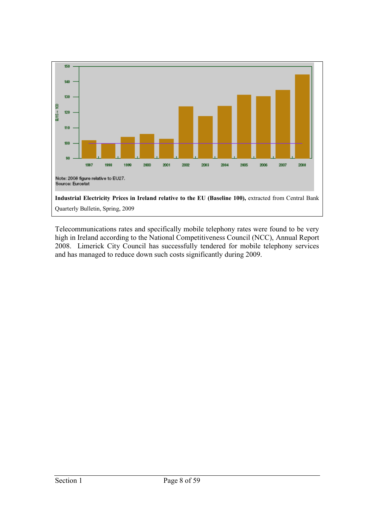

Telecommunications rates and specifically mobile telephony rates were found to be very high in Ireland according to the National Competitiveness Council (NCC), Annual Report 2008. Limerick City Council has successfully tendered for mobile telephony services and has managed to reduce down such costs significantly during 2009.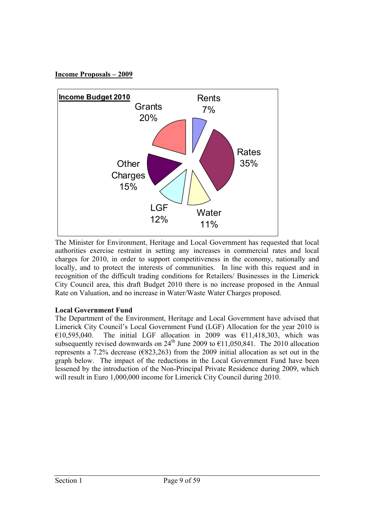# **Income Proposals – 2009**



The Minister for Environment, Heritage and Local Government has requested that local authorities exercise restraint in setting any increases in commercial rates and local charges for 2010, in order to support competitiveness in the economy, nationally and locally, and to protect the interests of communities. In line with this request and in recognition of the difficult trading conditions for Retailers/ Businesses in the Limerick City Council area, this draft Budget 2010 there is no increase proposed in the Annual Rate on Valuation, and no increase in Water/Waste Water Charges proposed.

# **Local Government Fund**

The Department of the Environment, Heritage and Local Government have advised that Limerick City Council's Local Government Fund (LGF) Allocation for the year 2010 is  $\overline{610,595,040}$ . The initial LGF allocation in 2009 was  $\overline{611,418,303}$ , which was subsequently revised downwards on  $24^{th}$  June 2009 to  $\epsilon$ 11,050,841. The 2010 allocation represents a 7.2% decrease ( $\epsilon$ 823,263) from the 2009 initial allocation as set out in the graph below. The impact of the reductions in the Local Government Fund have been lessened by the introduction of the Non-Principal Private Residence during 2009, which will result in Euro 1,000,000 income for Limerick City Council during 2010.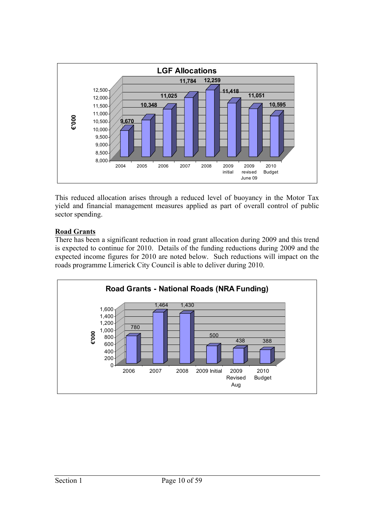

This reduced allocation arises through a reduced level of buoyancy in the Motor Tax yield and financial management measures applied as part of overall control of public sector spending.

# **Road Grants**

There has been a significant reduction in road grant allocation during 2009 and this trend is expected to continue for 2010. Details of the funding reductions during 2009 and the expected income figures for 2010 are noted below. Such reductions will impact on the roads programme Limerick City Council is able to deliver during 2010.

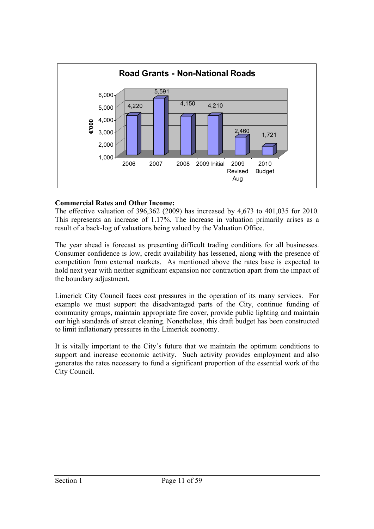

# **Commercial Rates and Other Income:**

The effective valuation of 396,362 (2009) has increased by 4,673 to 401,035 for 2010. This represents an increase of 1.17%. The increase in valuation primarily arises as a result of a back-log of valuations being valued by the Valuation Office.

The year ahead is forecast as presenting difficult trading conditions for all businesses. Consumer confidence is low, credit availability has lessened, along with the presence of competition from external markets. As mentioned above the rates base is expected to hold next year with neither significant expansion nor contraction apart from the impact of the boundary adjustment.

Limerick City Council faces cost pressures in the operation of its many services. For example we must support the disadvantaged parts of the City, continue funding of community groups, maintain appropriate fire cover, provide public lighting and maintain our high standards of street cleaning. Nonetheless, this draft budget has been constructed to limit inflationary pressures in the Limerick economy.

It is vitally important to the City's future that we maintain the optimum conditions to support and increase economic activity. Such activity provides employment and also generates the rates necessary to fund a significant proportion of the essential work of the City Council.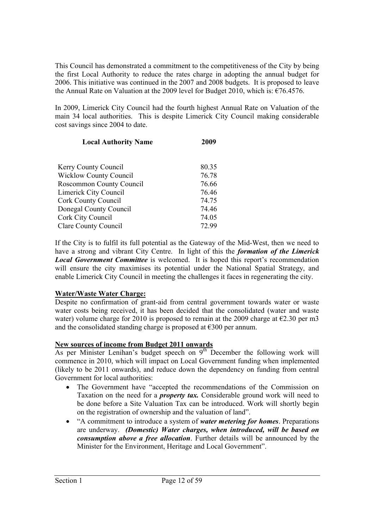This Council has demonstrated a commitment to the competitiveness of the City by being the first Local Authority to reduce the rates charge in adopting the annual budget for 2006. This initiative was continued in the 2007 and 2008 budgets. It is proposed to leave the Annual Rate on Valuation at the 2009 level for Budget 2010, which is:  $\epsilon$ 76.4576.

In 2009, Limerick City Council had the fourth highest Annual Rate on Valuation of the main 34 local authorities. This is despite Limerick City Council making considerable cost savings since 2004 to date.

| <b>Local Authority Name</b>     | 2009  |
|---------------------------------|-------|
|                                 |       |
| Kerry County Council            | 80.35 |
| <b>Wicklow County Council</b>   | 76.78 |
| <b>Roscommon County Council</b> | 76.66 |
| <b>Limerick City Council</b>    | 76.46 |
| <b>Cork County Council</b>      | 74.75 |
| <b>Donegal County Council</b>   | 74.46 |
| Cork City Council               | 74.05 |
| <b>Clare County Council</b>     | 72.99 |

If the City is to fulfil its full potential as the Gateway of the Mid-West, then we need to have a strong and vibrant City Centre. In light of this the *formation of the Limerick Local Government Committee* is welcomed. It is hoped this report's recommendation will ensure the city maximises its potential under the National Spatial Strategy, and enable Limerick City Council in meeting the challenges it faces in regenerating the city.

# **Water/Waste Water Charge:**

Despite no confirmation of grant-aid from central government towards water or waste water costs being received, it has been decided that the consolidated (water and waste water) volume charge for 2010 is proposed to remain at the 2009 charge at  $\epsilon$ 2.30 per m3 and the consolidated standing charge is proposed at  $\epsilon$ 300 per annum.

# **New sources of income from Budget 2011 onwards**

As per Minister Lenihan's budget speech on 9<sup>th</sup> December the following work will commence in 2010, which will impact on Local Government funding when implemented (likely to be 2011 onwards), and reduce down the dependency on funding from central Government for local authorities:

- The Government have "accepted the recommendations of the Commission on Taxation on the need for a *property tax.* Considerable ground work will need to be done before a Site Valuation Tax can be introduced. Work will shortly begin on the registration of ownership and the valuation of land".
- "A commitment to introduce a system of *water metering for homes*. Preparations are underway. *(Domestic) Water charges, when introduced, will be based on consumption above a free allocation*. Further details will be announced by the Minister for the Environment, Heritage and Local Government".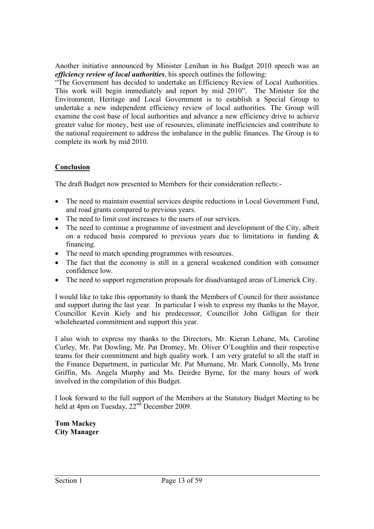Another initiative announced by Minister Lenihan in his Budget 2010 speech was an *efficiency review of local authorities*, his speech outlines the following:

"The Government has decided to undertake an Efficiency Review of Local Authorities. This work will begin immediately and report by mid 2010". The Minister for the Environment, Heritage and Local Government is to establish a Special Group to undertake a new independent efficiency review of local authorities. The Group will examine the cost base of local authorities and advance a new efficiency drive to achieve greater value for money, best use of resources, eliminate inefficiencies and contribute to the national requirement to address the imbalance in the public finances. The Group is to complete its work by mid 2010.

# **Conclusion**

The draft Budget now presented to Members for their consideration reflects:-

- The need to maintain essential services despite reductions in Local Government Fund, and road grants compared to previous years.
- The need to limit cost increases to the users of our services.
- The need to continue a programme of investment and development of the City, albeit on a reduced basis compared to previous years due to limitations in funding & financing.
- The need to match spending programmes with resources.
- The fact that the economy is still in a general weakened condition with consumer confidence low.
- The need to support regeneration proposals for disadvantaged areas of Limerick City.

I would like to take this opportunity to thank the Members of Council for their assistance and support during the last year. In particular I wish to express my thanks to the Mayor, Councillor Kevin Kiely and his predecessor, Councillor John Gilligan for their wholehearted commitment and support this year.

I also wish to express my thanks to the Directors, Mr. Kieran Lehane, Ms. Caroline Curley, Mr. Pat Dowling, Mr. Pat Dromey, Mr. Oliver O'Loughlin and their respective teams for their commitment and high quality work. I am very grateful to all the staff in the Finance Department, in particular Mr. Pat Murnane, Mr. Mark Connolly, Ms Irene Griffin, Ms. Angela Murphy and Ms. Deirdre Byrne, for the many hours of work involved in the compilation of this Budget.

I look forward to the full support of the Members at the Statutory Budget Meeting to be held at 4pm on Tuesday,  $22<sup>nd</sup>$  December 2009.

#### **Tom Mackey City Manager**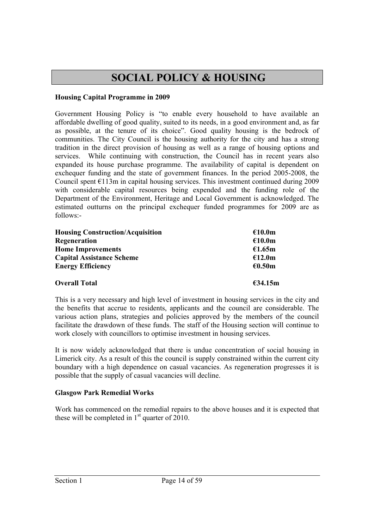# **SOCIAL POLICY & HOUSING**

## **Housing Capital Programme in 2009**

Government Housing Policy is "to enable every household to have available an affordable dwelling of good quality, suited to its needs, in a good environment and, as far as possible, at the tenure of its choice". Good quality housing is the bedrock of communities. The City Council is the housing authority for the city and has a strong tradition in the direct provision of housing as well as a range of housing options and services. While continuing with construction, the Council has in recent years also expanded its house purchase programme. The availability of capital is dependent on exchequer funding and the state of government finances. In the period 2005-2008, the Council spent  $E113m$  in capital housing services. This investment continued during 2009 with considerable capital resources being expended and the funding role of the Department of the Environment, Heritage and Local Government is acknowledged. The estimated outturns on the principal exchequer funded programmes for 2009 are as follows:-

| <b>Housing Construction/Acquisition</b> | €10.0m            |
|-----------------------------------------|-------------------|
| Regeneration                            | €10.0m            |
| <b>Home Improvements</b>                | €1.65m            |
| <b>Capital Assistance Scheme</b>        | €12.0m            |
| <b>Energy Efficiency</b>                | €0.50m            |
| <b>Overall Total</b>                    | $\epsilon$ 34.15m |

This is a very necessary and high level of investment in housing services in the city and the benefits that accrue to residents, applicants and the council are considerable. The various action plans, strategies and policies approved by the members of the council facilitate the drawdown of these funds. The staff of the Housing section will continue to work closely with councillors to optimise investment in housing services.

It is now widely acknowledged that there is undue concentration of social housing in Limerick city. As a result of this the council is supply constrained within the current city boundary with a high dependence on casual vacancies. As regeneration progresses it is possible that the supply of casual vacancies will decline.

# **Glasgow Park Remedial Works**

Work has commenced on the remedial repairs to the above houses and it is expected that these will be completed in  $1<sup>st</sup>$  quarter of 2010.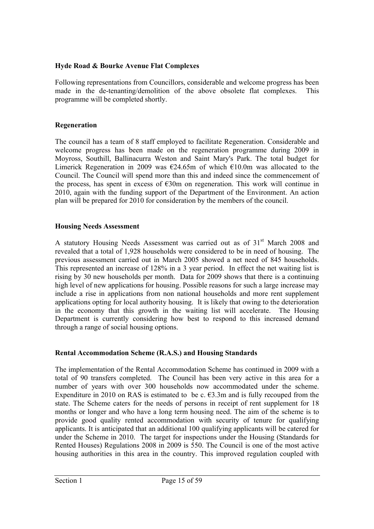# **Hyde Road & Bourke Avenue Flat Complexes**

Following representations from Councillors, considerable and welcome progress has been made in the de-tenanting/demolition of the above obsolete flat complexes. This programme will be completed shortly.

## **Regeneration**

The council has a team of 8 staff employed to facilitate Regeneration. Considerable and welcome progress has been made on the regeneration programme during 2009 in Moyross, Southill, Ballinacurra Weston and Saint Mary's Park. The total budget for Limerick Regeneration in 2009 was  $\epsilon$ 24.65m of which  $\epsilon$ 10.0m was allocated to the Council. The Council will spend more than this and indeed since the commencement of the process, has spent in excess of  $E30m$  on regeneration. This work will continue in 2010, again with the funding support of the Department of the Environment. An action plan will be prepared for 2010 for consideration by the members of the council.

## **Housing Needs Assessment**

A statutory Housing Needs Assessment was carried out as of 31<sup>st</sup> March 2008 and revealed that a total of 1,928 households were considered to be in need of housing. The previous assessment carried out in March 2005 showed a net need of 845 households. This represented an increase of 128% in a 3 year period. In effect the net waiting list is rising by 30 new households per month. Data for 2009 shows that there is a continuing high level of new applications for housing. Possible reasons for such a large increase may include a rise in applications from non national households and more rent supplement applications opting for local authority housing. It is likely that owing to the deterioration in the economy that this growth in the waiting list will accelerate. The Housing Department is currently considering how best to respond to this increased demand through a range of social housing options.

# **Rental Accommodation Scheme (R.A.S.) and Housing Standards**

The implementation of the Rental Accommodation Scheme has continued in 2009 with a total of 90 transfers completed. The Council has been very active in this area for a number of years with over 300 households now accommodated under the scheme. Expenditure in 2010 on RAS is estimated to be c.  $\epsilon$ 3.3m and is fully recouped from the state. The Scheme caters for the needs of persons in receipt of rent supplement for 18 months or longer and who have a long term housing need. The aim of the scheme is to provide good quality rented accommodation with security of tenure for qualifying applicants. It is anticipated that an additional 100 qualifying applicants will be catered for under the Scheme in 2010. The target for inspections under the Housing (Standards for Rented Houses) Regulations 2008 in 2009 is 550. The Council is one of the most active housing authorities in this area in the country. This improved regulation coupled with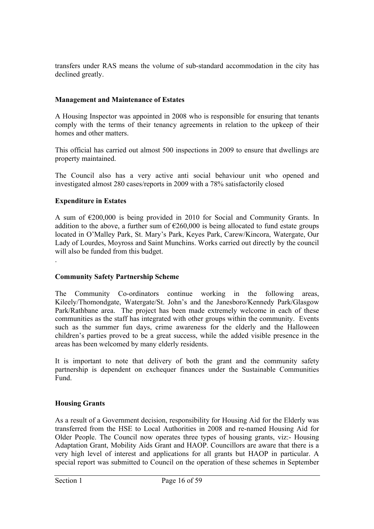transfers under RAS means the volume of sub-standard accommodation in the city has declined greatly.

#### **Management and Maintenance of Estates**

A Housing Inspector was appointed in 2008 who is responsible for ensuring that tenants comply with the terms of their tenancy agreements in relation to the upkeep of their homes and other matters.

This official has carried out almost 500 inspections in 2009 to ensure that dwellings are property maintained.

The Council also has a very active anti social behaviour unit who opened and investigated almost 280 cases/reports in 2009 with a 78% satisfactorily closed

## **Expenditure in Estates**

.

A sum of €200,000 is being provided in 2010 for Social and Community Grants. In addition to the above, a further sum of  $\epsilon$ 260,000 is being allocated to fund estate groups located in O'Malley Park, St. Mary's Park, Keyes Park, Carew/Kincora, Watergate, Our Lady of Lourdes, Moyross and Saint Munchins. Works carried out directly by the council will also be funded from this budget.

#### **Community Safety Partnership Scheme**

The Community Co-ordinators continue working in the following areas, Kileely/Thomondgate, Watergate/St. John's and the Janesboro/Kennedy Park/Glasgow Park/Rathbane area. The project has been made extremely welcome in each of these communities as the staff has integrated with other groups within the community. Events such as the summer fun days, crime awareness for the elderly and the Halloween children's parties proved to be a great success, while the added visible presence in the areas has been welcomed by many elderly residents.

It is important to note that delivery of both the grant and the community safety partnership is dependent on exchequer finances under the Sustainable Communities Fund.

# **Housing Grants**

As a result of a Government decision, responsibility for Housing Aid for the Elderly was transferred from the HSE to Local Authorities in 2008 and re-named Housing Aid for Older People. The Council now operates three types of housing grants, viz:- Housing Adaptation Grant, Mobility Aids Grant and HAOP. Councillors are aware that there is a very high level of interest and applications for all grants but HAOP in particular. A special report was submitted to Council on the operation of these schemes in September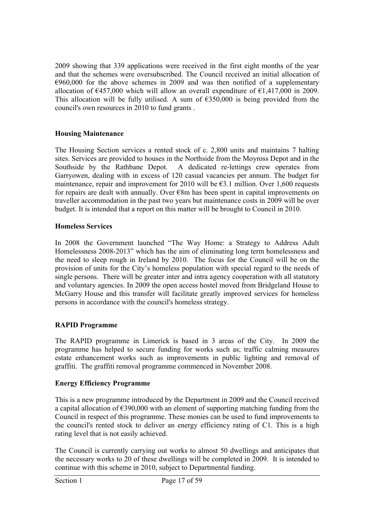2009 showing that 339 applications were received in the first eight months of the year and that the schemes were oversubscribed. The Council received an initial allocation of  $€960,000$  for the above schemes in 2009 and was then notified of a supplementary allocation of  $\epsilon$ 457,000 which will allow an overall expenditure of  $\epsilon$ 1,417,000 in 2009. This allocation will be fully utilised. A sum of  $\epsilon$ 350,000 is being provided from the council's own resources in 2010 to fund grants .

# **Housing Maintenance**

The Housing Section services a rented stock of c. 2,800 units and maintains 7 halting sites. Services are provided to houses in the Northside from the Moyross Depot and in the Southside by the Rathbane Depot. A dedicated re-lettings crew operates from Garryowen, dealing with in excess of 120 casual vacancies per annum. The budget for maintenance, repair and improvement for 2010 will be  $\epsilon$ 3.1 million. Over 1,600 requests for repairs are dealt with annually. Over €8m has been spent in capital improvements on traveller accommodation in the past two years but maintenance costs in 2009 will be over budget. It is intended that a report on this matter will be brought to Council in 2010.

# **Homeless Services**

In 2008 the Government launched "The Way Home: a Strategy to Address Adult Homelessness 2008-2013" which has the aim of eliminating long term homelessness and the need to sleep rough in Ireland by 2010. The focus for the Council will be on the provision of units for the City's homeless population with special regard to the needs of single persons. There will be greater inter and intra agency cooperation with all statutory and voluntary agencies. In 2009 the open access hostel moved from Bridgeland House to McGarry House and this transfer will facilitate greatly improved services for homeless persons in accordance with the council's homeless strategy.

# **RAPID Programme**

The RAPID programme in Limerick is based in 3 areas of the City. In 2009 the programme has helped to secure funding for works such as; traffic calming measures estate enhancement works such as improvements in public lighting and removal of graffiti. The graffiti removal programme commenced in November 2008.

# **Energy Efficiency Programme**

This is a new programme introduced by the Department in 2009 and the Council received a capital allocation of  $\epsilon$ 390,000 with an element of supporting matching funding from the Council in respect of this programme. These monies can be used to fund improvements to the council's rented stock to deliver an energy efficiency rating of C1. This is a high rating level that is not easily achieved.

The Council is currently carrying out works to almost 50 dwellings and anticipates that the necessary works to 20 of these dwellings will be completed in 2009. It is intended to continue with this scheme in 2010, subject to Departmental funding.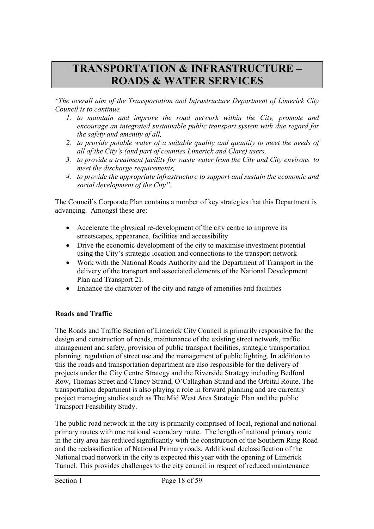# **TRANSPORTATION & INFRASTRUCTURE – ROADS & WATER SERVICES**

*"The overall aim of the Transportation and Infrastructure Department of Limerick City Council is to continue* 

- *1. to maintain and improve the road network within the City, promote and encourage an integrated sustainable public transport system with due regard for the safety and amenity of all,*
- *2. to provide potable water of a suitable quality and quantity to meet the needs of all of the City's (and part of counties Limerick and Clare) users,*
- *3. to provide a treatment facility for waste water from the City and City environs to meet the discharge requirements,*
- *4. to provide the appropriate infrastructure to support and sustain the economic and social development of the City".*

The Council's Corporate Plan contains a number of key strategies that this Department is advancing. Amongst these are:

- Accelerate the physical re-development of the city centre to improve its streetscapes, appearance, facilities and accessibility
- Drive the economic development of the city to maximise investment potential using the City's strategic location and connections to the transport network
- Work with the National Roads Authority and the Department of Transport in the delivery of the transport and associated elements of the National Development Plan and Transport 21.
- Enhance the character of the city and range of amenities and facilities

# **Roads and Traffic**

The Roads and Traffic Section of Limerick City Council is primarily responsible for the design and construction of roads, maintenance of the existing street network, traffic management and safety, provision of public transport facilities, strategic transportation planning, regulation of street use and the management of public lighting. In addition to this the roads and transportation department are also responsible for the delivery of projects under the City Centre Strategy and the Riverside Strategy including Bedford Row, Thomas Street and Clancy Strand, O'Callaghan Strand and the Orbital Route. The transportation department is also playing a role in forward planning and are currently project managing studies such as The Mid West Area Strategic Plan and the public Transport Feasibility Study.

The public road network in the city is primarily comprised of local, regional and national primary routes with one national secondary route. The length of national primary route in the city area has reduced significantly with the construction of the Southern Ring Road and the reclassification of National Primary roads. Additional declassification of the National road network in the city is expected this year with the opening of Limerick Tunnel. This provides challenges to the city council in respect of reduced maintenance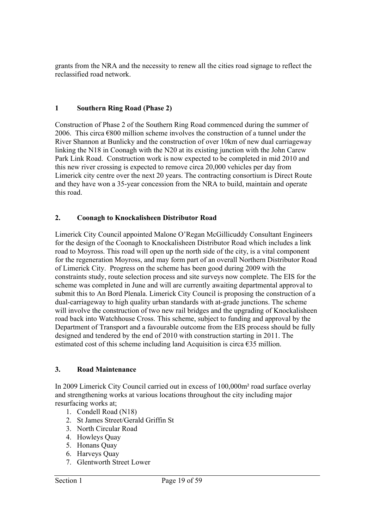grants from the NRA and the necessity to renew all the cities road signage to reflect the reclassified road network.

# **1 Southern Ring Road (Phase 2)**

Construction of Phase 2 of the Southern Ring Road commenced during the summer of 2006. This circa  $\epsilon$ 800 million scheme involves the construction of a tunnel under the River Shannon at Bunlicky and the construction of over 10km of new dual carriageway linking the N18 in Coonagh with the N20 at its existing junction with the John Carew Park Link Road. Construction work is now expected to be completed in mid 2010 and this new river crossing is expected to remove circa 20,000 vehicles per day from Limerick city centre over the next 20 years. The contracting consortium is Direct Route and they have won a 35-year concession from the NRA to build, maintain and operate this road.

## **2. Coonagh to Knockalisheen Distributor Road**

Limerick City Council appointed Malone O'Regan McGillicuddy Consultant Engineers for the design of the Coonagh to Knockalisheen Distributor Road which includes a link road to Moyross. This road will open up the north side of the city, is a vital component for the regeneration Moyross, and may form part of an overall Northern Distributor Road of Limerick City. Progress on the scheme has been good during 2009 with the constraints study, route selection process and site surveys now complete. The EIS for the scheme was completed in June and will are currently awaiting departmental approval to submit this to An Bord Plenala. Limerick City Council is proposing the construction of a dual-carriageway to high quality urban standards with at-grade junctions. The scheme will involve the construction of two new rail bridges and the upgrading of Knockalisheen road back into Watchhouse Cross. This scheme, subject to funding and approval by the Department of Transport and a favourable outcome from the EIS process should be fully designed and tendered by the end of 2010 with construction starting in 2011. The estimated cost of this scheme including land Acquisition is circa  $\epsilon$ 35 million.

#### **3. Road Maintenance**

In 2009 Limerick City Council carried out in excess of 100,000m² road surface overlay and strengthening works at various locations throughout the city including major resurfacing works at;

- 1. Condell Road (N18)
- 2. St James Street/Gerald Griffin St
- 3. North Circular Road
- 4. Howleys Quay
- 5. Honans Quay
- 6. Harveys Quay
- 7. Glentworth Street Lower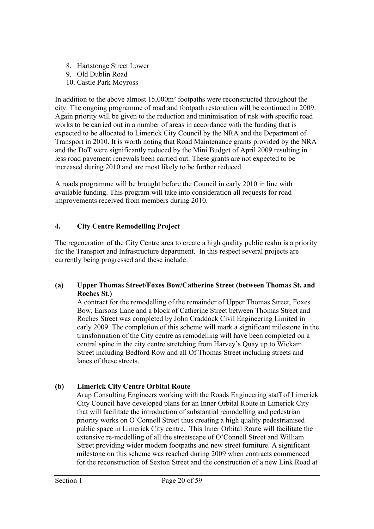- 8. Hartstonge Street Lower
- 9. Old Dublin Road
- 10. Castle Park Moyross

In addition to the above almost 15,000m² footpaths were reconstructed throughout the city. The ongoing programme of road and footpath restoration will be continued in 2009. Again priority will be given to the reduction and minimisation of risk with specific road works to be carried out in a number of areas in accordance with the funding that is expected to be allocated to Limerick City Council by the NRA and the Department of Transport in 2010. It is worth noting that Road Maintenance grants provided by the NRA and the DoT were significantly reduced by the Mini Budget of April 2009 resulting in less road pavement renewals been carried out. These grants are not expected to be increased during 2010 and are most likely to be further reduced.

A roads programme will be brought before the Council in early 2010 in line with available funding. This program will take into consideration all requests for road improvements received from members during 2010.

# **4. City Centre Remodelling Project**

The regeneration of the City Centre area to create a high quality public realm is a priority for the Transport and Infrastructure department. In this respect several projects are currently being progressed and these include:

## **(a) Upper Thomas Street/Foxes Bow/Catherine Street (between Thomas St. and Roches St.)**

A contract for the remodelling of the remainder of Upper Thomas Street, Foxes Bow, Earsons Lane and a block of Catherine Street between Thomas Street and Roches Street was completed by John Craddock Civil Engineering Limited in early 2009. The completion of this scheme will mark a significant milestone in the transformation of the City centre as remodelling will have been completed on a central spine in the city centre stretching from Harvey's Quay up to Wickam Street including Bedford Row and all Of Thomas Street including streets and lanes of these streets.

# **(b) Limerick City Centre Orbital Route**

Arup Consulting Engineers working with the Roads Engineering staff of Limerick City Council have developed plans for an Inner Orbital Route in Limerick City that will facilitate the introduction of substantial remodelling and pedestrian priority works on O'Connell Street thus creating a high quality pedestrianised public space in Limerick City centre. This Inner Orbital Route will facilitate the extensive re-modelling of all the streetscape of O'Connell Street and William Street providing wider modern footpaths and new street furniture. A significant milestone on this scheme was reached during 2009 when contracts commenced for the reconstruction of Sexton Street and the construction of a new Link Road at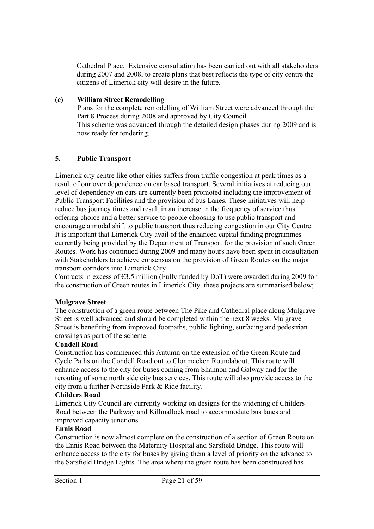Cathedral Place. Extensive consultation has been carried out with all stakeholders during 2007 and 2008, to create plans that best reflects the type of city centre the citizens of Limerick city will desire in the future.

#### **(e) William Street Remodelling**

Plans for the complete remodelling of William Street were advanced through the Part 8 Process during 2008 and approved by City Council. This scheme was advanced through the detailed design phases during 2009 and is now ready for tendering.

#### **5. Public Transport**

Limerick city centre like other cities suffers from traffic congestion at peak times as a result of our over dependence on car based transport. Several initiatives at reducing our level of dependency on cars are currently been promoted including the improvement of Public Transport Facilities and the provision of bus Lanes. These initiatives will help reduce bus journey times and result in an increase in the frequency of service thus offering choice and a better service to people choosing to use public transport and encourage a modal shift to public transport thus reducing congestion in our City Centre. It is important that Limerick City avail of the enhanced capital funding programmes currently being provided by the Department of Transport for the provision of such Green Routes. Work has continued during 2009 and many hours have been spent in consultation with Stakeholders to achieve consensus on the provision of Green Routes on the major transport corridors into Limerick City

Contracts in excess of  $63.5$  million (Fully funded by DoT) were awarded during 2009 for the construction of Green routes in Limerick City. these projects are summarised below;

#### **Mulgrave Street**

The construction of a green route between The Pike and Cathedral place along Mulgrave Street is well advanced and should be completed within the next 8 weeks. Mulgrave Street is benefiting from improved footpaths, public lighting, surfacing and pedestrian crossings as part of the scheme.

#### **Condell Road**

Construction has commenced this Autumn on the extension of the Green Route and Cycle Paths on the Condell Road out to Clonmacken Roundabout. This route will enhance access to the city for buses coming from Shannon and Galway and for the rerouting of some north side city bus services. This route will also provide access to the city from a further Northside Park & Ride facility.

#### **Childers Road**

Limerick City Council are currently working on designs for the widening of Childers Road between the Parkway and Killmallock road to accommodate bus lanes and improved capacity junctions.

#### **Ennis Road**

Construction is now almost complete on the construction of a section of Green Route on the Ennis Road between the Maternity Hospital and Sarsfield Bridge. This route will enhance access to the city for buses by giving them a level of priority on the advance to the Sarsfield Bridge Lights. The area where the green route has been constructed has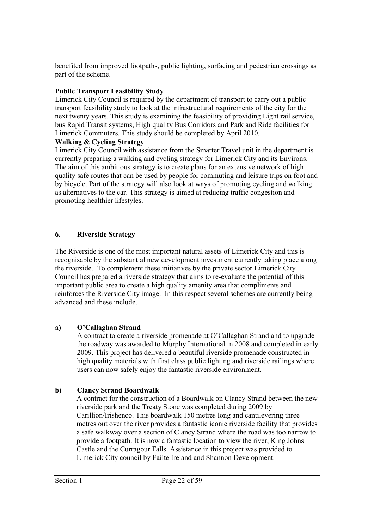benefited from improved footpaths, public lighting, surfacing and pedestrian crossings as part of the scheme.

# **Public Transport Feasibility Study**

Limerick City Council is required by the department of transport to carry out a public transport feasibility study to look at the infrastructural requirements of the city for the next twenty years. This study is examining the feasibility of providing Light rail service, bus Rapid Transit systems, High quality Bus Corridors and Park and Ride facilities for Limerick Commuters. This study should be completed by April 2010.

# **Walking & Cycling Strategy**

Limerick City Council with assistance from the Smarter Travel unit in the department is currently preparing a walking and cycling strategy for Limerick City and its Environs. The aim of this ambitious strategy is to create plans for an extensive network of high quality safe routes that can be used by people for commuting and leisure trips on foot and by bicycle. Part of the strategy will also look at ways of promoting cycling and walking as alternatives to the car. This strategy is aimed at reducing traffic congestion and promoting healthier lifestyles.

# **6. Riverside Strategy**

The Riverside is one of the most important natural assets of Limerick City and this is recognisable by the substantial new development investment currently taking place along the riverside. To complement these initiatives by the private sector Limerick City Council has prepared a riverside strategy that aims to re-evaluate the potential of this important public area to create a high quality amenity area that compliments and reinforces the Riverside City image. In this respect several schemes are currently being advanced and these include.

# **a) O'Callaghan Strand**

A contract to create a riverside promenade at O'Callaghan Strand and to upgrade the roadway was awarded to Murphy International in 2008 and completed in early 2009. This project has delivered a beautiful riverside promenade constructed in high quality materials with first class public lighting and riverside railings where users can now safely enjoy the fantastic riverside environment.

# **b) Clancy Strand Boardwalk**

A contract for the construction of a Boardwalk on Clancy Strand between the new riverside park and the Treaty Stone was completed during 2009 by Carillion/Irishenco. This boardwalk 150 metres long and cantilevering three metres out over the river provides a fantastic iconic riverside facility that provides a safe walkway over a section of Clancy Strand where the road was too narrow to provide a footpath. It is now a fantastic location to view the river, King Johns Castle and the Curragour Falls. Assistance in this project was provided to Limerick City council by Failte Ireland and Shannon Development.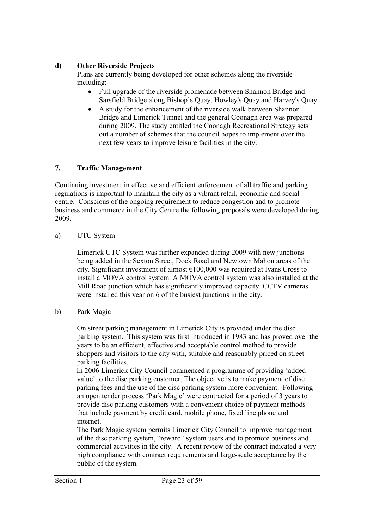# **d) Other Riverside Projects**

Plans are currently being developed for other schemes along the riverside including:

- Full upgrade of the riverside promenade between Shannon Bridge and Sarsfield Bridge along Bishop's Quay, Howley's Quay and Harvey's Quay.
- A study for the enhancement of the riverside walk between Shannon Bridge and Limerick Tunnel and the general Coonagh area was prepared during 2009. The study entitled the Coonagh Recreational Strategy sets out a number of schemes that the council hopes to implement over the next few years to improve leisure facilities in the city.

# **7. Traffic Management**

Continuing investment in effective and efficient enforcement of all traffic and parking regulations is important to maintain the city as a vibrant retail, economic and social centre. Conscious of the ongoing requirement to reduce congestion and to promote business and commerce in the City Centre the following proposals were developed during 2009.

a) UTC System

Limerick UTC System was further expanded during 2009 with new junctions being added in the Sexton Street, Dock Road and Newtown Mahon areas of the city. Significant investment of almost €100,000 was required at Ivans Cross to install a MOVA control system. A MOVA control system was also installed at the Mill Road junction which has significantly improved capacity. CCTV cameras were installed this year on 6 of the busiest junctions in the city.

b) Park Magic

On street parking management in Limerick City is provided under the disc parking system. This system was first introduced in 1983 and has proved over the years to be an efficient, effective and acceptable control method to provide shoppers and visitors to the city with, suitable and reasonably priced on street parking facilities.

In 2006 Limerick City Council commenced a programme of providing 'added value' to the disc parking customer. The objective is to make payment of disc parking fees and the use of the disc parking system more convenient. Following an open tender process 'Park Magic' were contracted for a period of 3 years to provide disc parking customers with a convenient choice of payment methods that include payment by credit card, mobile phone, fixed line phone and internet.

The Park Magic system permits Limerick City Council to improve management of the disc parking system, "reward" system users and to promote business and commercial activities in the city. A recent review of the contract indicated a very high compliance with contract requirements and large-scale acceptance by the public of the system.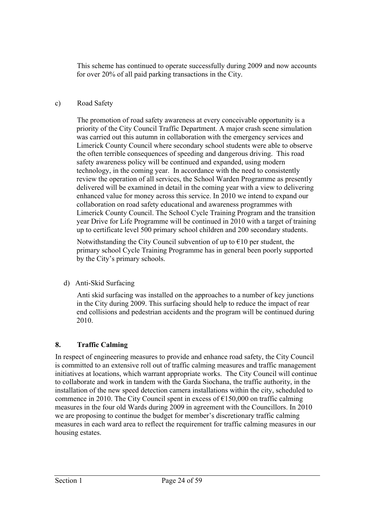This scheme has continued to operate successfully during 2009 and now accounts for over 20% of all paid parking transactions in the City.

# c) Road Safety

The promotion of road safety awareness at every conceivable opportunity is a priority of the City Council Traffic Department. A major crash scene simulation was carried out this autumn in collaboration with the emergency services and Limerick County Council where secondary school students were able to observe the often terrible consequences of speeding and dangerous driving. This road safety awareness policy will be continued and expanded, using modern technology, in the coming year. In accordance with the need to consistently review the operation of all services, the School Warden Programme as presently delivered will be examined in detail in the coming year with a view to delivering enhanced value for money across this service. In 2010 we intend to expand our collaboration on road safety educational and awareness programmes with Limerick County Council. The School Cycle Training Program and the transition year Drive for Life Programme will be continued in 2010 with a target of training up to certificate level 500 primary school children and 200 secondary students.

Notwithstanding the City Council subvention of up to  $\epsilon$ 10 per student, the primary school Cycle Training Programme has in general been poorly supported by the City's primary schools.

# d) Anti-Skid Surfacing

Anti skid surfacing was installed on the approaches to a number of key junctions in the City during 2009. This surfacing should help to reduce the impact of rear end collisions and pedestrian accidents and the program will be continued during 2010.

# **8. Traffic Calming**

In respect of engineering measures to provide and enhance road safety, the City Council is committed to an extensive roll out of traffic calming measures and traffic management initiatives at locations, which warrant appropriate works. The City Council will continue to collaborate and work in tandem with the Garda Siochana, the traffic authority, in the installation of the new speed detection camera installations within the city, scheduled to commence in 2010. The City Council spent in excess of  $\epsilon$ 150,000 on traffic calming measures in the four old Wards during 2009 in agreement with the Councillors. In 2010 we are proposing to continue the budget for member's discretionary traffic calming measures in each ward area to reflect the requirement for traffic calming measures in our housing estates.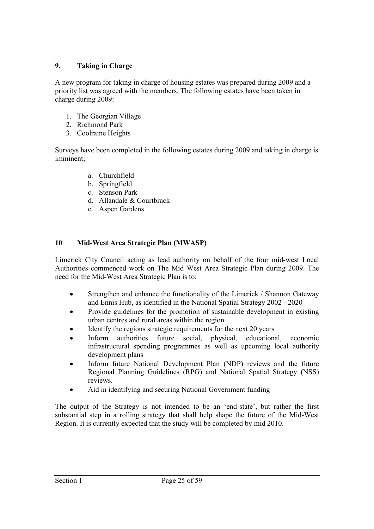# **9. Taking in Charge**

A new program for taking in charge of housing estates was prepared during 2009 and a priority list was agreed with the members. The following estates have been taken in charge during 2009:

- 1. The Georgian Village
- 2. Richmond Park
- 3. Coolraine Heights

Surveys have been completed in the following estates during 2009 and taking in charge is imminent;

- a. Churchfield
- b. Springfield
- c. Stenson Park
- d. Allandale & Courtbrack
- e. Aspen Gardens

# **10 Mid-West Area Strategic Plan (MWASP)**

Limerick City Council acting as lead authority on behalf of the four mid-west Local Authorities commenced work on The Mid West Area Strategic Plan during 2009. The need for the Mid-West Area Strategic Plan is to:

- Strengthen and enhance the functionality of the Limerick / Shannon Gateway and Ennis Hub, as identified in the National Spatial Strategy 2002 - 2020
- Provide guidelines for the promotion of sustainable development in existing urban centres and rural areas within the region
- Identify the regions strategic requirements for the next 20 years
- Inform authorities future social, physical, educational, economic infrastructural spending programmes as well as upcoming local authority development plans
- Inform future National Development Plan (NDP) reviews and the future Regional Planning Guidelines (RPG) and National Spatial Strategy (NSS) reviews.
- Aid in identifying and securing National Government funding

The output of the Strategy is not intended to be an 'end-state', but rather the first substantial step in a rolling strategy that shall help shape the future of the Mid-West Region. It is currently expected that the study will be completed by mid 2010.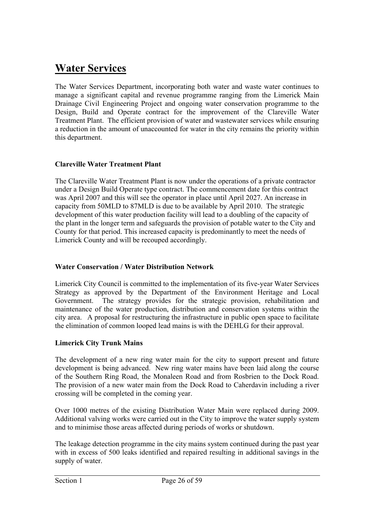# **Water Services**

The Water Services Department, incorporating both water and waste water continues to manage a significant capital and revenue programme ranging from the Limerick Main Drainage Civil Engineering Project and ongoing water conservation programme to the Design, Build and Operate contract for the improvement of the Clareville Water Treatment Plant. The efficient provision of water and wastewater services while ensuring a reduction in the amount of unaccounted for water in the city remains the priority within this department.

# **Clareville Water Treatment Plant**

The Clareville Water Treatment Plant is now under the operations of a private contractor under a Design Build Operate type contract. The commencement date for this contract was April 2007 and this will see the operator in place until April 2027. An increase in capacity from 50MLD to 87MLD is due to be available by April 2010. The strategic development of this water production facility will lead to a doubling of the capacity of the plant in the longer term and safeguards the provision of potable water to the City and County for that period. This increased capacity is predominantly to meet the needs of Limerick County and will be recouped accordingly.

# **Water Conservation / Water Distribution Network**

Limerick City Council is committed to the implementation of its five-year Water Services Strategy as approved by the Department of the Environment Heritage and Local Government. The strategy provides for the strategic provision, rehabilitation and maintenance of the water production, distribution and conservation systems within the city area. A proposal for restructuring the infrastructure in public open space to facilitate the elimination of common looped lead mains is with the DEHLG for their approval.

# **Limerick City Trunk Mains**

The development of a new ring water main for the city to support present and future development is being advanced. New ring water mains have been laid along the course of the Southern Ring Road, the Monaleen Road and from Rosbrien to the Dock Road. The provision of a new water main from the Dock Road to Caherdavin including a river crossing will be completed in the coming year.

Over 1000 metres of the existing Distribution Water Main were replaced during 2009. Additional valving works were carried out in the City to improve the water supply system and to minimise those areas affected during periods of works or shutdown.

The leakage detection programme in the city mains system continued during the past year with in excess of 500 leaks identified and repaired resulting in additional savings in the supply of water.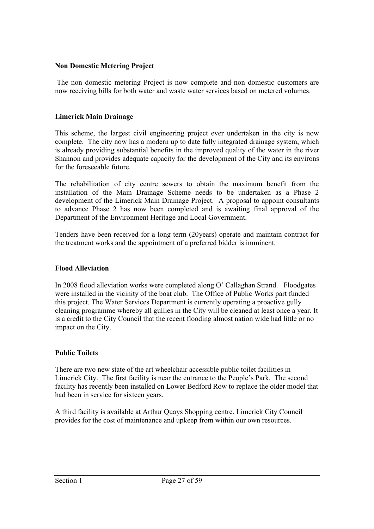## **Non Domestic Metering Project**

 The non domestic metering Project is now complete and non domestic customers are now receiving bills for both water and waste water services based on metered volumes.

## **Limerick Main Drainage**

This scheme, the largest civil engineering project ever undertaken in the city is now complete. The city now has a modern up to date fully integrated drainage system, which is already providing substantial benefits in the improved quality of the water in the river Shannon and provides adequate capacity for the development of the City and its environs for the foreseeable future.

The rehabilitation of city centre sewers to obtain the maximum benefit from the installation of the Main Drainage Scheme needs to be undertaken as a Phase 2 development of the Limerick Main Drainage Project. A proposal to appoint consultants to advance Phase 2 has now been completed and is awaiting final approval of the Department of the Environment Heritage and Local Government.

Tenders have been received for a long term (20years) operate and maintain contract for the treatment works and the appointment of a preferred bidder is imminent.

#### **Flood Alleviation**

In 2008 flood alleviation works were completed along O' Callaghan Strand. Floodgates were installed in the vicinity of the boat club. The Office of Public Works part funded this project. The Water Services Department is currently operating a proactive gully cleaning programme whereby all gullies in the City will be cleaned at least once a year. It is a credit to the City Council that the recent flooding almost nation wide had little or no impact on the City.

# **Public Toilets**

There are two new state of the art wheelchair accessible public toilet facilities in Limerick City. The first facility is near the entrance to the People's Park. The second facility has recently been installed on Lower Bedford Row to replace the older model that had been in service for sixteen years.

A third facility is available at Arthur Quays Shopping centre. Limerick City Council provides for the cost of maintenance and upkeep from within our own resources.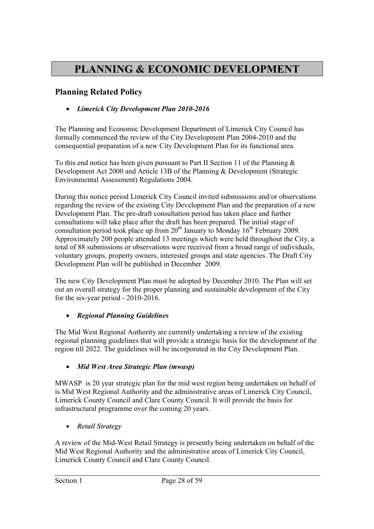# **PLANNING & ECONOMIC DEVELOPMENT**

# **Planning Related Policy**

# *Limerick City Development Plan 2010-2016*

The Planning and Economic Development Department of Limerick City Council has formally commenced the review of the City Development Plan 2004-2010 and the consequential preparation of a new City Development Plan for its functional area.

To this end notice has been given pursuant to Part II Section 11 of the Planning  $\&$ Development Act 2000 and Article 13B of the Planning & Development (Strategic Environmental Assessment) Regulations 2004.

During this notice period Limerick City Council invited submissions and/or observations regarding the review of the existing City Development Plan and the preparation of a new Development Plan. The pre-draft consultation period has taken place and further consultations will take place after the draft has been prepared. The initial stage of consultation period took place up from  $20<sup>th</sup>$  January to Monday 16<sup>th</sup> February 2009. Approximately 200 people attended 13 meetings which were held throughout the City, a total of 88 submissions or observations were received from a broad range of individuals, voluntary groups, property owners, interested groups and state agencies. The Draft City Development Plan will be published in December 2009.

The new City Development Plan must be adopted by December 2010. The Plan will set out an overall strategy for the proper planning and sustainable development of the City for the six-year period - 2010-2016.

# *Regional Planning Guidelines*

The Mid West Regional Authority are currently undertaking a review of the existing regional planning guidelines that will provide a strategic basis for the development of the region till 2022. The guidelines will be incorporated in the City Development Plan.

# *Mid West Area Strategic Plan (mwasp)*

MWASP is 20 year strategic plan for the mid west region being undertaken on behalf of is Mid West Regional Authority and the administrative areas of Limerick City Council, Limerick County Council and Clare County Council. It will provide the basis for infrastructural programme over the coming 20 years.

*Retail Strategy*

A review of the Mid-West Retail Strategy is presently being undertaken on behalf of the Mid West Regional Authority and the administrative areas of Limerick City Council, Limerick County Council and Clare County Council.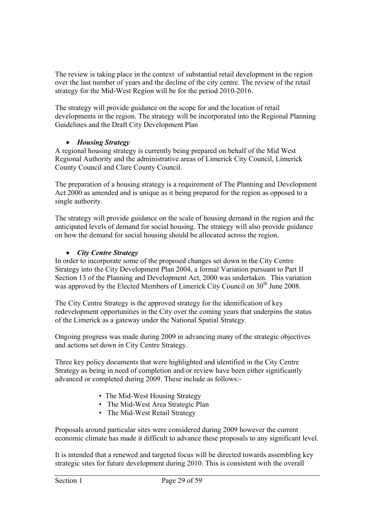The review is taking place in the context of substantial retail development in the region over the last number of years and the decline of the city centre. The review of the retail strategy for the Mid-West Region will be for the period 2010-2016.

The strategy will provide guidance on the scope for and the location of retail developments in the region. The strategy will be incorporated into the Regional Planning Guidelines and the Draft City Development Plan

# *Housing Strategy*

A regional housing strategy is currently being prepared on behalf of the Mid West Regional Authority and the administrative areas of Limerick City Council, Limerick County Council and Clare County Council.

The preparation of a housing strategy is a requirement of The Planning and Development Act 2000 as amended and is unique as it being prepared for the region as opposed to a single authority.

The strategy will provide guidance on the scale of housing demand in the region and the anticipated levels of demand for social housing. The strategy will also provide guidance on how the demand for social housing should be allocated across the region.

# *City Centre Strategy*

In order to incorporate some of the proposed changes set down in the City Centre Strategy into the City Development Plan 2004, a formal Variation pursuant to Part II Section 13 of the Planning and Development Act, 2000 was undertaken. This variation was approved by the Elected Members of Limerick City Council on 30<sup>th</sup> June 2008.

The City Centre Strategy is the approved strategy for the identification of key redevelopment opportunities in the City over the coming years that underpins the status of the Limerick as a gateway under the National Spatial Strategy.

Ongoing progress was made during 2009 in advancing many of the strategic objectives and actions set down in City Centre Strategy.

Three key policy documents that were highlighted and identified in the City Centre Strategy as being in need of completion and/or review have been either significantly advanced or completed during 2009. These include as follows:-

- The Mid-West Housing Strategy
- The Mid-West Area Strategic Plan
- The Mid-West Retail Strategy

Proposals around particular sites were considered during 2009 however the current economic climate has made it difficult to advance these proposals to any significant level.

It is intended that a renewed and targeted focus will be directed towards assembling key strategic sites for future development during 2010. This is consistent with the overall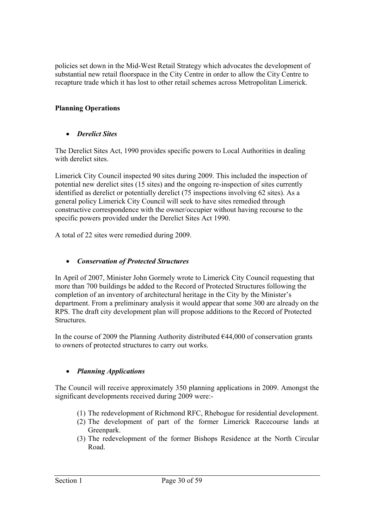policies set down in the Mid-West Retail Strategy which advocates the development of substantial new retail floorspace in the City Centre in order to allow the City Centre to recapture trade which it has lost to other retail schemes across Metropolitan Limerick.

# **Planning Operations**

# *Derelict Sites*

The Derelict Sites Act, 1990 provides specific powers to Local Authorities in dealing with derelict sites.

Limerick City Council inspected 90 sites during 2009. This included the inspection of potential new derelict sites (15 sites) and the ongoing re-inspection of sites currently identified as derelict or potentially derelict (75 inspections involving 62 sites). As a general policy Limerick City Council will seek to have sites remedied through constructive correspondence with the owner/occupier without having recourse to the specific powers provided under the Derelict Sites Act 1990.

A total of 22 sites were remedied during 2009.

#### *Conservation of Protected Structures*

In April of 2007, Minister John Gormely wrote to Limerick City Council requesting that more than 700 buildings be added to the Record of Protected Structures following the completion of an inventory of architectural heritage in the City by the Minister's department. From a preliminary analysis it would appear that some 300 are already on the RPS. The draft city development plan will propose additions to the Record of Protected **Structures** 

In the course of 2009 the Planning Authority distributed  $644,000$  of conservation grants to owners of protected structures to carry out works.

#### *Planning Applications*

The Council will receive approximately 350 planning applications in 2009. Amongst the significant developments received during 2009 were:-

- (1) The redevelopment of Richmond RFC, Rhebogue for residential development.
- (2) The development of part of the former Limerick Racecourse lands at Greenpark.
- (3) The redevelopment of the former Bishops Residence at the North Circular Road.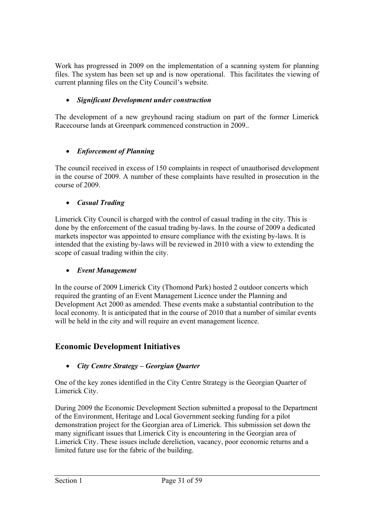Work has progressed in 2009 on the implementation of a scanning system for planning files. The system has been set up and is now operational. This facilitates the viewing of current planning files on the City Council's website.

# *Significant Development under construction*

The development of a new greyhound racing stadium on part of the former Limerick Racecourse lands at Greenpark commenced construction in 2009..

# *Enforcement of Planning*

The council received in excess of 150 complaints in respect of unauthorised development in the course of 2009. A number of these complaints have resulted in prosecution in the course of 2009.

# *Casual Trading*

Limerick City Council is charged with the control of casual trading in the city. This is done by the enforcement of the casual trading by-laws. In the course of 2009 a dedicated markets inspector was appointed to ensure compliance with the existing by-laws. It is intended that the existing by-laws will be reviewed in 2010 with a view to extending the scope of casual trading within the city.

# *Event Management*

In the course of 2009 Limerick City (Thomond Park) hosted 2 outdoor concerts which required the granting of an Event Management Licence under the Planning and Development Act 2000 as amended. These events make a substantial contribution to the local economy. It is anticipated that in the course of 2010 that a number of similar events will be held in the city and will require an event management licence.

# **Economic Development Initiatives**

# *City Centre Strategy – Georgian Quarter*

One of the key zones identified in the City Centre Strategy is the Georgian Quarter of Limerick City.

During 2009 the Economic Development Section submitted a proposal to the Department of the Environment, Heritage and Local Government seeking funding for a pilot demonstration project for the Georgian area of Limerick. This submission set down the many significant issues that Limerick City is encountering in the Georgian area of Limerick City. These issues include dereliction, vacancy, poor economic returns and a limited future use for the fabric of the building.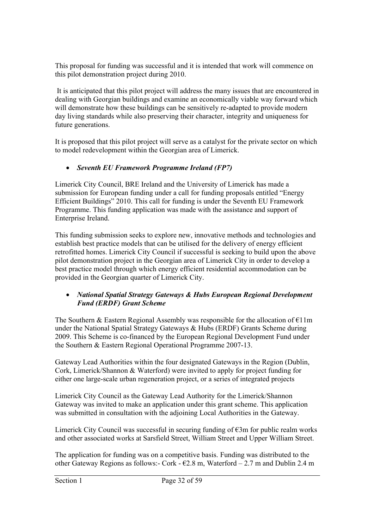This proposal for funding was successful and it is intended that work will commence on this pilot demonstration project during 2010.

 It is anticipated that this pilot project will address the many issues that are encountered in dealing with Georgian buildings and examine an economically viable way forward which will demonstrate how these buildings can be sensitively re-adapted to provide modern day living standards while also preserving their character, integrity and uniqueness for future generations.

It is proposed that this pilot project will serve as a catalyst for the private sector on which to model redevelopment within the Georgian area of Limerick.

# *Seventh EU Framework Programme Ireland (FP7)*

Limerick City Council, BRE Ireland and the University of Limerick has made a submission for European funding under a call for funding proposals entitled "Energy Efficient Buildings" 2010. This call for funding is under the Seventh EU Framework Programme. This funding application was made with the assistance and support of Enterprise Ireland.

This funding submission seeks to explore new, innovative methods and technologies and establish best practice models that can be utilised for the delivery of energy efficient retrofitted homes. Limerick City Council if successful is seeking to build upon the above pilot demonstration project in the Georgian area of Limerick City in order to develop a best practice model through which energy efficient residential accommodation can be provided in the Georgian quarter of Limerick City.

# *National Spatial Strategy Gateways & Hubs European Regional Development Fund (ERDF) Grant Scheme*

The Southern & Eastern Regional Assembly was responsible for the allocation of  $E11m$ under the National Spatial Strategy Gateways & Hubs (ERDF) Grants Scheme during 2009. This Scheme is co-financed by the European Regional Development Fund under the Southern & Eastern Regional Operational Programme 2007-13.

Gateway Lead Authorities within the four designated Gateways in the Region (Dublin, Cork, Limerick/Shannon & Waterford) were invited to apply for project funding for either one large-scale urban regeneration project, or a series of integrated projects

Limerick City Council as the Gateway Lead Authority for the Limerick/Shannon Gateway was invited to make an application under this grant scheme. This application was submitted in consultation with the adjoining Local Authorities in the Gateway.

Limerick City Council was successful in securing funding of  $\epsilon$ 3m for public realm works and other associated works at Sarsfield Street, William Street and Upper William Street.

The application for funding was on a competitive basis. Funding was distributed to the other Gateway Regions as follows:- Cork -  $E2.8$  m, Waterford  $- 2.7$  m and Dublin 2.4 m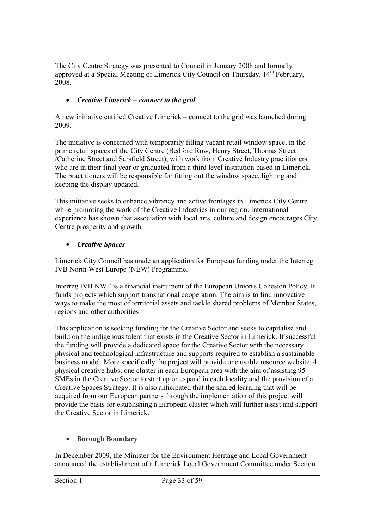The City Centre Strategy was presented to Council in January 2008 and formally approved at a Special Meeting of Limerick City Council on Thursday, 14th February, 2008.

# *Creative Limerick – connect to the grid*

A new initiative entitled Creative Limerick – connect to the grid was launched during 2009.

The initiative is concerned with temporarily filling vacant retail window space, in the prime retail spaces of the City Centre (Bedford Row, Henry Street, Thomas Street /Catherine Street and Sarsfield Street), with work from Creative Industry practitioners who are in their final year or graduated from a third level institution based in Limerick. The practitioners will be responsible for fitting out the window space, lighting and keeping the display updated.

This initiative seeks to enhance vibrancy and active frontages in Limerick City Centre while promoting the work of the Creative Industries in our region. International experience has shown that association with local arts, culture and design encourages City Centre prosperity and growth.

# *Creative Spaces*

Limerick City Council has made an application for European funding under the Interreg IVB North West Europe (NEW) Programme.

Interreg IVB NWE is a financial instrument of the European Union's Cohesion Policy. It funds projects which support transnational cooperation. The aim is to find innovative ways to make the most of territorial assets and tackle shared problems of Member States, regions and other authorities

This application is seeking funding for the Creative Sector and seeks to capitalise and build on the indigenous talent that exists in the Creative Sector in Limerick. If successful the funding will provide a dedicated space for the Creative Sector with the necessary physical and technological infrastructure and supports required to establish a sustainable business model. More specifically the project will provide one usable resource website, 4 physical creative hubs, one cluster in each European area with the aim of assisting 95 SMEs in the Creative Sector to start up or expand in each locality and the provision of a Creative Spaces Strategy. It is also anticipated that the shared learning that will be acquired from our European partners through the implementation of this project will provide the basis for establishing a European cluster which will further assist and support the Creative Sector in Limerick.

# **Borough Boundary**

In December 2009, the Minister for the Environment Heritage and Local Government announced the establishment of a Limerick Local Government Committee under Section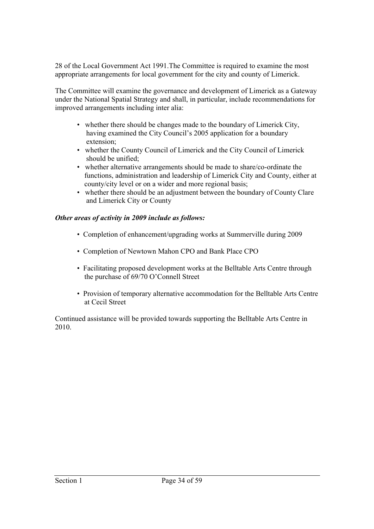28 of the Local Government Act 1991.The Committee is required to examine the most appropriate arrangements for local government for the city and county of Limerick.

The Committee will examine the governance and development of Limerick as a Gateway under the National Spatial Strategy and shall, in particular, include recommendations for improved arrangements including inter alia:

- whether there should be changes made to the boundary of Limerick City, having examined the City Council's 2005 application for a boundary extension;
- whether the County Council of Limerick and the City Council of Limerick should be unified;
- whether alternative arrangements should be made to share/co-ordinate the functions, administration and leadership of Limerick City and County, either at county/city level or on a wider and more regional basis;
- whether there should be an adjustment between the boundary of County Clare and Limerick City or County

## *Other areas of activity in 2009 include as follows:*

- Completion of enhancement/upgrading works at Summerville during 2009
- Completion of Newtown Mahon CPO and Bank Place CPO
- Facilitating proposed development works at the Belltable Arts Centre through the purchase of 69/70 O'Connell Street
- Provision of temporary alternative accommodation for the Belltable Arts Centre at Cecil Street

Continued assistance will be provided towards supporting the Belltable Arts Centre in 2010.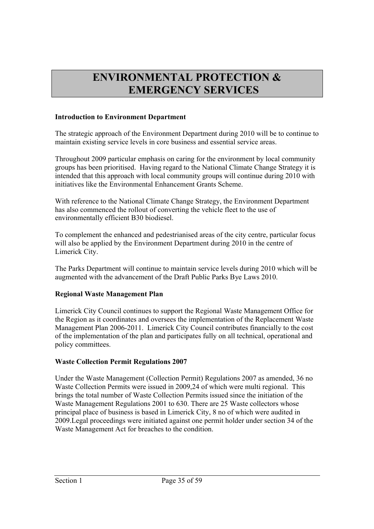# **ENVIRONMENTAL PROTECTION & EMERGENCY SERVICES**

#### **Introduction to Environment Department**

The strategic approach of the Environment Department during 2010 will be to continue to maintain existing service levels in core business and essential service areas.

Throughout 2009 particular emphasis on caring for the environment by local community groups has been prioritised. Having regard to the National Climate Change Strategy it is intended that this approach with local community groups will continue during 2010 with initiatives like the Environmental Enhancement Grants Scheme.

With reference to the National Climate Change Strategy, the Environment Department has also commenced the rollout of converting the vehicle fleet to the use of environmentally efficient B30 biodiesel.

To complement the enhanced and pedestrianised areas of the city centre, particular focus will also be applied by the Environment Department during 2010 in the centre of Limerick City.

The Parks Department will continue to maintain service levels during 2010 which will be augmented with the advancement of the Draft Public Parks Bye Laws 2010.

# **Regional Waste Management Plan**

Limerick City Council continues to support the Regional Waste Management Office for the Region as it coordinates and oversees the implementation of the Replacement Waste Management Plan 2006-2011. Limerick City Council contributes financially to the cost of the implementation of the plan and participates fully on all technical, operational and policy committees.

# **Waste Collection Permit Regulations 2007**

Under the Waste Management (Collection Permit) Regulations 2007 as amended, 36 no Waste Collection Permits were issued in 2009,24 of which were multi regional. This brings the total number of Waste Collection Permits issued since the initiation of the Waste Management Regulations 2001 to 630. There are 25 Waste collectors whose principal place of business is based in Limerick City, 8 no of which were audited in 2009.Legal proceedings were initiated against one permit holder under section 34 of the Waste Management Act for breaches to the condition.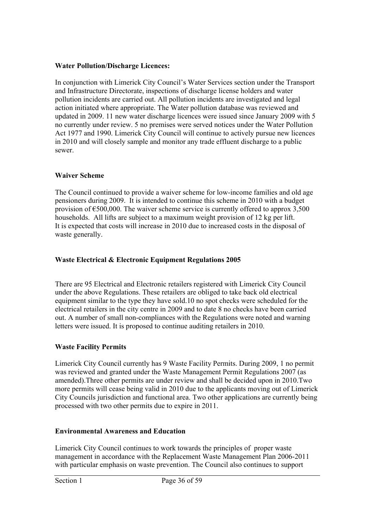## **Water Pollution/Discharge Licences:**

In conjunction with Limerick City Council's Water Services section under the Transport and Infrastructure Directorate, inspections of discharge license holders and water pollution incidents are carried out. All pollution incidents are investigated and legal action initiated where appropriate. The Water pollution database was reviewed and updated in 2009. 11 new water discharge licences were issued since January 2009 with 5 no currently under review. 5 no premises were served notices under the Water Pollution Act 1977 and 1990. Limerick City Council will continue to actively pursue new licences in 2010 and will closely sample and monitor any trade effluent discharge to a public sewer.

# **Waiver Scheme**

The Council continued to provide a waiver scheme for low-income families and old age pensioners during 2009. It is intended to continue this scheme in 2010 with a budget provision of  $\epsilon$ 500,000. The waiver scheme service is currently offered to approx 3,500 households. All lifts are subject to a maximum weight provision of 12 kg per lift. It is expected that costs will increase in 2010 due to increased costs in the disposal of waste generally.

# **Waste Electrical & Electronic Equipment Regulations 2005**

There are 95 Electrical and Electronic retailers registered with Limerick City Council under the above Regulations. These retailers are obliged to take back old electrical equipment similar to the type they have sold.10 no spot checks were scheduled for the electrical retailers in the city centre in 2009 and to date 8 no checks have been carried out. A number of small non-compliances with the Regulations were noted and warning letters were issued. It is proposed to continue auditing retailers in 2010.

# **Waste Facility Permits**

Limerick City Council currently has 9 Waste Facility Permits. During 2009, 1 no permit was reviewed and granted under the Waste Management Permit Regulations 2007 (as amended).Three other permits are under review and shall be decided upon in 2010.Two more permits will cease being valid in 2010 due to the applicants moving out of Limerick City Councils jurisdiction and functional area. Two other applications are currently being processed with two other permits due to expire in 2011.

# **Environmental Awareness and Education**

Limerick City Council continues to work towards the principles of proper waste management in accordance with the Replacement Waste Management Plan 2006-2011 with particular emphasis on waste prevention. The Council also continues to support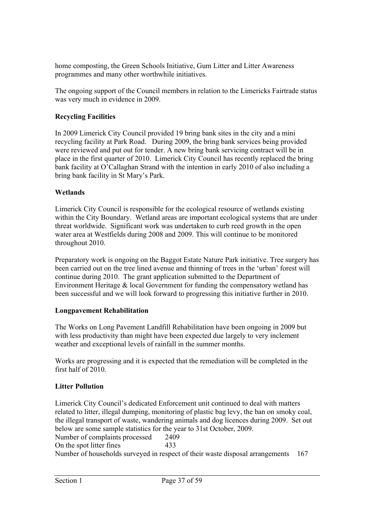home composting, the Green Schools Initiative, Gum Litter and Litter Awareness programmes and many other worthwhile initiatives.

The ongoing support of the Council members in relation to the Limericks Fairtrade status was very much in evidence in 2009.

# **Recycling Facilities**

In 2009 Limerick City Council provided 19 bring bank sites in the city and a mini recycling facility at Park Road. During 2009, the bring bank services being provided were reviewed and put out for tender. A new bring bank servicing contract will be in place in the first quarter of 2010. Limerick City Council has recently replaced the bring bank facility at O'Callaghan Strand with the intention in early 2010 of also including a bring bank facility in St Mary's Park.

# **Wetlands**

Limerick City Council is responsible for the ecological resource of wetlands existing within the City Boundary. Wetland areas are important ecological systems that are under threat worldwide. Significant work was undertaken to curb reed growth in the open water area at Westfields during 2008 and 2009. This will continue to be monitored throughout 2010.

Preparatory work is ongoing on the Baggot Estate Nature Park initiative. Tree surgery has been carried out on the tree lined avenue and thinning of trees in the 'urban' forest will continue during 2010. The grant application submitted to the Department of Environment Heritage  $&$  local Government for funding the compensatory wetland has been successful and we will look forward to progressing this initiative further in 2010.

# **Longpavement Rehabilitation**

The Works on Long Pavement Landfill Rehabilitation have been ongoing in 2009 but with less productivity than might have been expected due largely to very inclement weather and exceptional levels of rainfall in the summer months.

Works are progressing and it is expected that the remediation will be completed in the first half of 2010.

# **Litter Pollution**

Limerick City Council's dedicated Enforcement unit continued to deal with matters related to litter, illegal dumping, monitoring of plastic bag levy, the ban on smoky coal, the illegal transport of waste, wandering animals and dog licences during 2009. Set out below are some sample statistics for the year to 31st October, 2009. Number of complaints processed 2409 On the spot litter fines 433 Number of households surveyed in respect of their waste disposal arrangements 167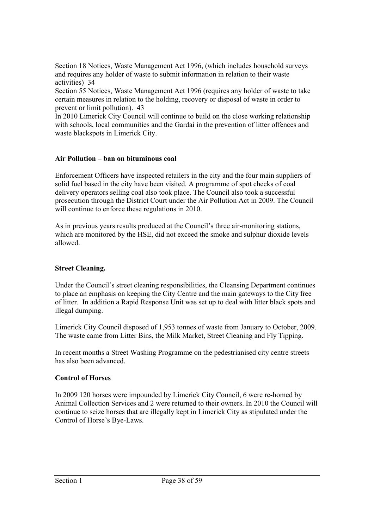Section 18 Notices, Waste Management Act 1996, (which includes household surveys and requires any holder of waste to submit information in relation to their waste activities) 34

Section 55 Notices, Waste Management Act 1996 (requires any holder of waste to take certain measures in relation to the holding, recovery or disposal of waste in order to prevent or limit pollution). 43

In 2010 Limerick City Council will continue to build on the close working relationship with schools, local communities and the Gardai in the prevention of litter offences and waste blackspots in Limerick City.

## **Air Pollution – ban on bituminous coal**

Enforcement Officers have inspected retailers in the city and the four main suppliers of solid fuel based in the city have been visited. A programme of spot checks of coal delivery operators selling coal also took place. The Council also took a successful prosecution through the District Court under the Air Pollution Act in 2009. The Council will continue to enforce these regulations in 2010.

As in previous years results produced at the Council's three air-monitoring stations, which are monitored by the HSE, did not exceed the smoke and sulphur dioxide levels allowed.

# **Street Cleaning.**

Under the Council's street cleaning responsibilities, the Cleansing Department continues to place an emphasis on keeping the City Centre and the main gateways to the City free of litter. In addition a Rapid Response Unit was set up to deal with litter black spots and illegal dumping.

Limerick City Council disposed of 1,953 tonnes of waste from January to October, 2009. The waste came from Litter Bins, the Milk Market, Street Cleaning and Fly Tipping.

In recent months a Street Washing Programme on the pedestrianised city centre streets has also been advanced.

# **Control of Horses**

In 2009 120 horses were impounded by Limerick City Council, 6 were re-homed by Animal Collection Services and 2 were returned to their owners. In 2010 the Council will continue to seize horses that are illegally kept in Limerick City as stipulated under the Control of Horse's Bye-Laws.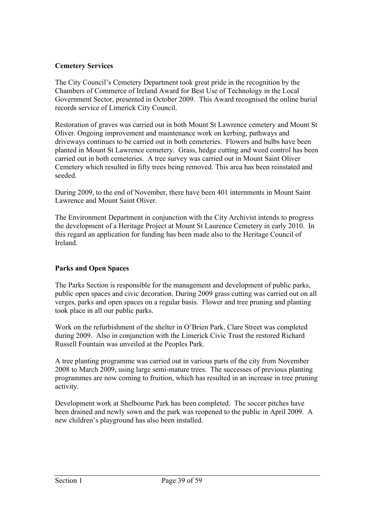# **Cemetery Services**

The City Council's Cemetery Department took great pride in the recognition by the Chambers of Commerce of Ireland Award for Best Use of Technology in the Local Government Sector, presented in October 2009. This Award recognised the online burial records service of Limerick City Council.

Restoration of graves was carried out in both Mount St Lawrence cemetery and Mount St Oliver. Ongoing improvement and maintenance work on kerbing, pathways and driveways continues to be carried out in both cemeteries. Flowers and bulbs have been planted in Mount St Lawrence cemetery. Grass, hedge cutting and weed control has been carried out in both cemeteries. A tree survey was carried out in Mount Saint Oliver Cemetery which resulted in fifty trees being removed. This area has been reinstated and seeded.

During 2009, to the end of November, there have been 401 internments in Mount Saint Lawrence and Mount Saint Oliver.

The Environment Department in conjunction with the City Archivist intends to progress the development of a Heritage Project at Mount St Laurence Cemetery in early 2010. In this regard an application for funding has been made also to the Heritage Council of Ireland.

# **Parks and Open Spaces**

The Parks Section is responsible for the management and development of public parks, public open spaces and civic decoration. During 2009 grass cutting was carried out on all verges, parks and open spaces on a regular basis. Flower and tree pruning and planting took place in all our public parks.

Work on the refurbishment of the shelter in O'Brien Park, Clare Street was completed during 2009. Also in conjunction with the Limerick Civic Trust the restored Richard Russell Fountain was unveiled at the Peoples Park.

A tree planting programme was carried out in various parts of the city from November 2008 to March 2009, using large semi-mature trees. The successes of previous planting programmes are now coming to fruition, which has resulted in an increase in tree pruning activity.

Development work at Shelbourne Park has been completed. The soccer pitches have been drained and newly sown and the park was reopened to the public in April 2009. A new children's playground has also been installed.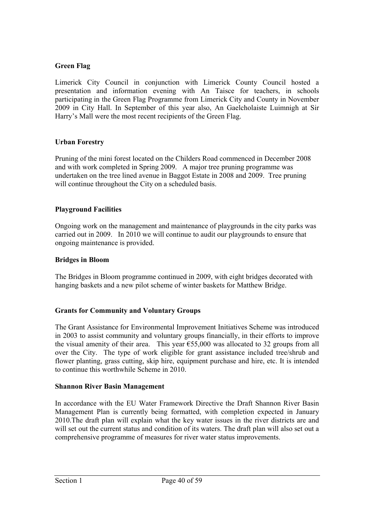# **Green Flag**

Limerick City Council in conjunction with Limerick County Council hosted a presentation and information evening with An Taisce for teachers, in schools participating in the Green Flag Programme from Limerick City and County in November 2009 in City Hall. In September of this year also, An Gaelcholaiste Luimnigh at Sir Harry's Mall were the most recent recipients of the Green Flag.

# **Urban Forestry**

Pruning of the mini forest located on the Childers Road commenced in December 2008 and with work completed in Spring 2009. A major tree pruning programme was undertaken on the tree lined avenue in Baggot Estate in 2008 and 2009. Tree pruning will continue throughout the City on a scheduled basis.

# **Playground Facilities**

Ongoing work on the management and maintenance of playgrounds in the city parks was carried out in 2009. In 2010 we will continue to audit our playgrounds to ensure that ongoing maintenance is provided.

## **Bridges in Bloom**

The Bridges in Bloom programme continued in 2009, with eight bridges decorated with hanging baskets and a new pilot scheme of winter baskets for Matthew Bridge.

# **Grants for Community and Voluntary Groups**

The Grant Assistance for Environmental Improvement Initiatives Scheme was introduced in 2003 to assist community and voluntary groups financially, in their efforts to improve the visual amenity of their area. This year  $\epsilon$ 55,000 was allocated to 32 groups from all over the City. The type of work eligible for grant assistance included tree/shrub and flower planting, grass cutting, skip hire, equipment purchase and hire, etc. It is intended to continue this worthwhile Scheme in 2010.

#### **Shannon River Basin Management**

In accordance with the EU Water Framework Directive the Draft Shannon River Basin Management Plan is currently being formatted, with completion expected in January 2010.The draft plan will explain what the key water issues in the river districts are and will set out the current status and condition of its waters. The draft plan will also set out a comprehensive programme of measures for river water status improvements.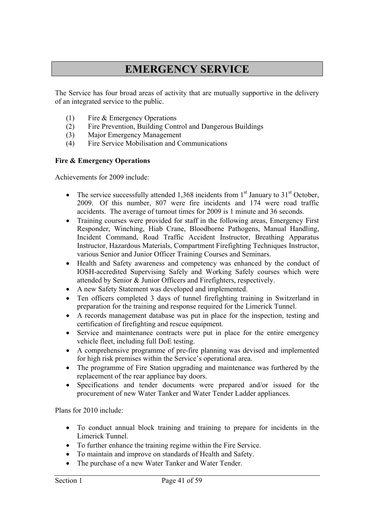# **EMERGENCY SERVICE**

The Service has four broad areas of activity that are mutually supportive in the delivery of an integrated service to the public.

- (1) Fire & Emergency Operations
- (2) Fire Prevention, Building Control and Dangerous Buildings
- (3) Major Emergency Management
- (4) Fire Service Mobilisation and Communications

## **Fire & Emergency Operations**

Achievements for 2009 include:

- The service successfully attended 1,368 incidents from  $1<sup>st</sup>$  January to 31 $<sup>st</sup>$  October,</sup> 2009. Of this number, 807 were fire incidents and 174 were road traffic accidents. The average of turnout times for 2009 is 1 minute and 36 seconds.
- Training courses were provided for staff in the following areas, Emergency First Responder, Winching, Hiab Crane, Bloodborne Pathogens, Manual Handling, Incident Command, Road Traffic Accident Instructor, Breathing Apparatus Instructor, Hazardous Materials, Compartment Firefighting Techniques Instructor, various Senior and Junior Officer Training Courses and Seminars.
- Health and Safety awareness and competency was enhanced by the conduct of IOSH-accredited Supervising Safely and Working Safely courses which were attended by Senior & Junior Officers and Firefighters, respectively.
- A new Safety Statement was developed and implemented.
- Ten officers completed 3 days of tunnel firefighting training in Switzerland in preparation for the training and response required for the Limerick Tunnel.
- A records management database was put in place for the inspection, testing and certification of firefighting and rescue equipment.
- Service and maintenance contracts were put in place for the entire emergency vehicle fleet, including full DoE testing.
- A comprehensive programme of pre-fire planning was devised and implemented for high risk premises within the Service's operational area.
- The programme of Fire Station upgrading and maintenance was furthered by the replacement of the rear appliance bay doors.
- Specifications and tender documents were prepared and/or issued for the procurement of new Water Tanker and Water Tender Ladder appliances.

Plans for 2010 include:

- To conduct annual block training and training to prepare for incidents in the Limerick Tunnel.
- To further enhance the training regime within the Fire Service.
- To maintain and improve on standards of Health and Safety.
- The purchase of a new Water Tanker and Water Tender.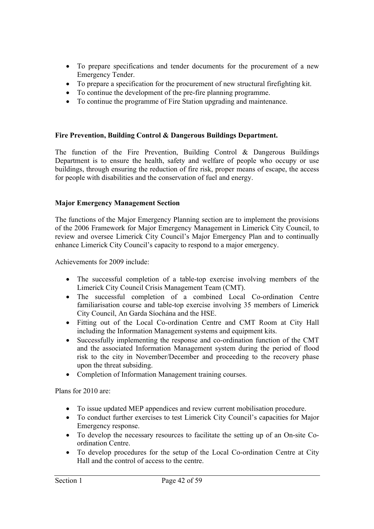- To prepare specifications and tender documents for the procurement of a new Emergency Tender.
- To prepare a specification for the procurement of new structural firefighting kit.
- To continue the development of the pre-fire planning programme.
- To continue the programme of Fire Station upgrading and maintenance.

# **Fire Prevention, Building Control & Dangerous Buildings Department.**

The function of the Fire Prevention, Building Control & Dangerous Buildings Department is to ensure the health, safety and welfare of people who occupy or use buildings, through ensuring the reduction of fire risk, proper means of escape, the access for people with disabilities and the conservation of fuel and energy.

## **Major Emergency Management Section**

The functions of the Major Emergency Planning section are to implement the provisions of the 2006 Framework for Major Emergency Management in Limerick City Council, to review and oversee Limerick City Council's Major Emergency Plan and to continually enhance Limerick City Council's capacity to respond to a major emergency.

Achievements for 2009 include:

- The successful completion of a table-top exercise involving members of the Limerick City Council Crisis Management Team (CMT).
- The successful completion of a combined Local Co-ordination Centre familiarisation course and table-top exercise involving 35 members of Limerick City Council, An Garda Síochána and the HSE.
- Fitting out of the Local Co-ordination Centre and CMT Room at City Hall including the Information Management systems and equipment kits.
- Successfully implementing the response and co-ordination function of the CMT and the associated Information Management system during the period of flood risk to the city in November/December and proceeding to the recovery phase upon the threat subsiding.
- Completion of Information Management training courses.

Plans for 2010 are:

- To issue updated MEP appendices and review current mobilisation procedure.
- To conduct further exercises to test Limerick City Council's capacities for Major Emergency response.
- To develop the necessary resources to facilitate the setting up of an On-site Coordination Centre.
- To develop procedures for the setup of the Local Co-ordination Centre at City Hall and the control of access to the centre.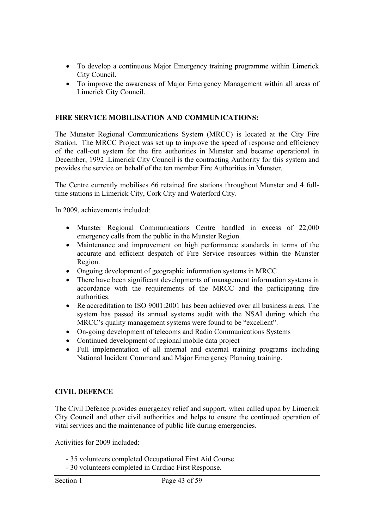- To develop a continuous Major Emergency training programme within Limerick City Council.
- To improve the awareness of Major Emergency Management within all areas of Limerick City Council.

#### **FIRE SERVICE MOBILISATION AND COMMUNICATIONS:**

The Munster Regional Communications System (MRCC) is located at the City Fire Station. The MRCC Project was set up to improve the speed of response and efficiency of the call-out system for the fire authorities in Munster and became operational in December, 1992 .Limerick City Council is the contracting Authority for this system and provides the service on behalf of the ten member Fire Authorities in Munster.

The Centre currently mobilises 66 retained fire stations throughout Munster and 4 fulltime stations in Limerick City, Cork City and Waterford City.

In 2009, achievements included:

- Munster Regional Communications Centre handled in excess of 22,000 emergency calls from the public in the Munster Region.
- Maintenance and improvement on high performance standards in terms of the accurate and efficient despatch of Fire Service resources within the Munster Region.
- Ongoing development of geographic information systems in MRCC
- There have been significant developments of management information systems in accordance with the requirements of the MRCC and the participating fire authorities.
- Re accreditation to ISO 9001:2001 has been achieved over all business areas. The system has passed its annual systems audit with the NSAI during which the MRCC's quality management systems were found to be "excellent".
- On-going development of telecoms and Radio Communications Systems
- Continued development of regional mobile data project
- Full implementation of all internal and external training programs including National Incident Command and Major Emergency Planning training.

#### **CIVIL DEFENCE**

The Civil Defence provides emergency relief and support, when called upon by Limerick City Council and other civil authorities and helps to ensure the continued operation of vital services and the maintenance of public life during emergencies.

Activities for 2009 included:

- 35 volunteers completed Occupational First Aid Course
- 30 volunteers completed in Cardiac First Response.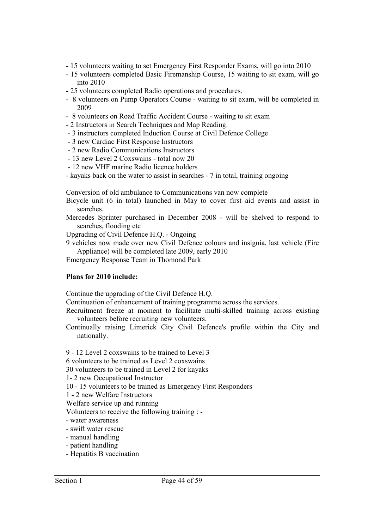- 15 volunteers waiting to set Emergency First Responder Exams, will go into 2010
- 15 volunteers completed Basic Firemanship Course, 15 waiting to sit exam, will go into 2010
- 25 volunteers completed Radio operations and procedures.
- 8 volunteers on Pump Operators Course waiting to sit exam, will be completed in 2009
- 8 volunteers on Road Traffic Accident Course waiting to sit exam
- 2 Instructors in Search Techniques and Map Reading.
- 3 instructors completed Induction Course at Civil Defence College
- 3 new Cardiac First Response Instructors
- 2 new Radio Communications Instructors
- 13 new Level 2 Coxswains total now 20
- 12 new VHF marine Radio licence holders
- kayaks back on the water to assist in searches 7 in total, training ongoing

Conversion of old ambulance to Communications van now complete

- Bicycle unit (6 in total) launched in May to cover first aid events and assist in searches.
- Mercedes Sprinter purchased in December 2008 will be shelved to respond to searches, flooding etc
- Upgrading of Civil Defence H.Q. Ongoing

9 vehicles now made over new Civil Defence colours and insignia, last vehicle (Fire Appliance) will be completed late 2009, early 2010

Emergency Response Team in Thomond Park

#### **Plans for 2010 include:**

Continue the upgrading of the Civil Defence H.Q.

Continuation of enhancement of training programme across the services.

- Recruitment freeze at moment to facilitate multi-skilled training across existing volunteers before recruiting new volunteers.
- Continually raising Limerick City Civil Defence's profile within the City and nationally.
- 9 12 Level 2 coxswains to be trained to Level 3
- 6 volunteers to be trained as Level 2 coxswains
- 30 volunteers to be trained in Level 2 for kayaks
- 1- 2 new Occupational Instructor

10 - 15 volunteers to be trained as Emergency First Responders

1 - 2 new Welfare Instructors

Welfare service up and running

Volunteers to receive the following training : -

- water awareness
- swift water rescue
- manual handling
- patient handling
- Hepatitis B vaccination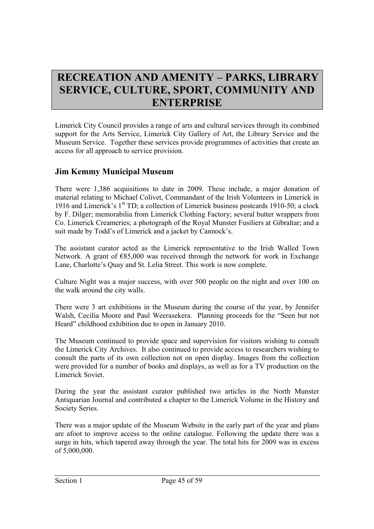# **RECREATION AND AMENITY – PARKS, LIBRARY SERVICE, CULTURE, SPORT, COMMUNITY AND ENTERPRISE**

Limerick City Council provides a range of arts and cultural services through its combined support for the Arts Service, Limerick City Gallery of Art, the Library Service and the Museum Service. Together these services provide programmes of activities that create an access for all approach to service provision.

# **Jim Kemmy Municipal Museum**

There were 1,386 acquisitions to date in 2009. These include, a major donation of material relating to Michael Colivet, Commandant of the Irish Volunteers in Limerick in 1916 and Limerick's 1st TD; a collection of Limerick business postcards 1910-50; a clock by F. Dilger; memorabilia from Limerick Clothing Factory; several butter wrappers from Co. Limerick Creameries; a photograph of the Royal Munster Fusiliers at Gibraltar; and a suit made by Todd's of Limerick and a jacket by Cannock's.

The assistant curator acted as the Limerick representative to the Irish Walled Town Network. A grant of €85,000 was received through the network for work in Exchange Lane, Charlotte's Quay and St. Lelia Street. This work is now complete.

Culture Night was a major success, with over 500 people on the night and over 100 on the walk around the city walls.

There were 3 art exhibitions in the Museum during the course of the year, by Jennifer Walsh, Cecilia Moore and Paul Weerasekera. Planning proceeds for the "Seen but not Heard" childhood exhibition due to open in January 2010.

The Museum continued to provide space and supervision for visitors wishing to consult the Limerick City Archives. It also continued to provide access to researchers wishing to consult the parts of its own collection not on open display. Images from the collection were provided for a number of books and displays, as well as for a TV production on the Limerick Soviet.

During the year the assistant curator published two articles in the North Munster Antiquarian Journal and contributed a chapter to the Limerick Volume in the History and Society Series.

There was a major update of the Museum Website in the early part of the year and plans are afoot to improve access to the online catalogue. Following the update there was a surge in hits, which tapered away through the year. The total hits for 2009 was in excess of 5,000,000.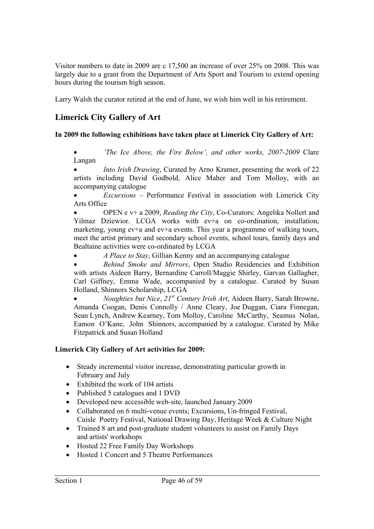Visitor numbers to date in 2009 are c 17,500 an increase of over 25% on 2008. This was largely due to a grant from the Department of Arts Sport and Tourism to extend opening hours during the tourism high season.

Larry Walsh the curator retired at the end of June, we wish him well in his retirement.

# **Limerick City Gallery of Art**

# **In 2009 the following exhibitions have taken place at Limerick City Gallery of Art:**

 *'The Ice Above, the Fire Below', and other works, 2007-2009* Clare Langan

 *Into Irish Drawing*, Curated by Arno Kramer, presenting the work of 22 artists including David Godbold, Alice Maher and Tom Molloy, with an accompanying catalogue

 *Excursions –* Performance Festival in association with Limerick City Arts Office

 OPEN e v+ a 2009, *Reading the City*, Co-Curators: Angelika Nollert and Yilmaz Dziewior. LCGA works with ev+a on co-ordination, installation, marketing, young ev+a and ev+a events. This year a programme of walking tours, meet the artist primary and secondary school events, school tours, family days and Bealtaine activities were co-ordinated by LCGA

*A Place to Stay*, Gillian Kenny and an accompanying catalogue

 *Behind Smoke and Mirrors*, Open Studio Residencies and Exhibition with artists Aideen Barry, Bernardine Carroll/Maggie Shirley, Garvan Gallagher, Carl Giffney, Emma Wade, accompanied by a catalogue. Curated by Susan Holland, Shinnors Scholarship, LCGA

 *Noughties but Nice*, *21st Century Irish Art*, Aideen Barry, Sarah Browne, Amanda Coogan, Denis Connolly / Anne Cleary, Joe Duggan, Ciara Finnegan, Sean Lynch, Andrew Kearney, Tom Molloy, Caroline McCarthy, Seamus Nolan, Eamon O'Kane, John Shinnors, accompanied by a catalogue. Curated by Mike Fitzpatrick and Susan Holland

# **Limerick City Gallery of Art activities for 2009:**

- Steady incremental visitor increase, demonstrating particular growth in February and July
- Exhibited the work of 104 artists
- Published 5 catalogues and 1 DVD
- Developed new accessible web-site, launched January 2009
- Collaborated on 6 multi-venue events; Excursions, Un-fringed Festival, Cuisle Poetry Festival, National Drawing Day, Heritage Week & Culture Night
- Trained 8 art and post-graduate student volunteers to assist on Family Days and artists' workshops
- Hosted 22 Free Family Day Workshops
- Hosted 1 Concert and 5 Theatre Performances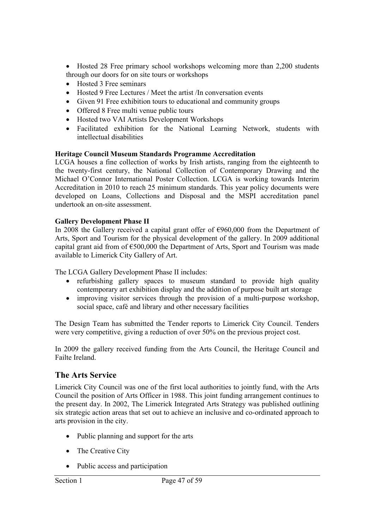- Hosted 28 Free primary school workshops welcoming more than 2,200 students through our doors for on site tours or workshops
- Hosted 3 Free seminars
- Hosted 9 Free Lectures / Meet the artist /In conversation events
- Given 91 Free exhibition tours to educational and community groups
- Offered 8 Free multi venue public tours
- Hosted two VAI Artists Development Workshops
- Facilitated exhibition for the National Learning Network, students with intellectual disabilities

# **Heritage Council Museum Standards Programme Accreditation**

LCGA houses a fine collection of works by Irish artists, ranging from the eighteenth to the twenty-first century, the National Collection of Contemporary Drawing and the Michael O'Connor International Poster Collection. LCGA is working towards Interim Accreditation in 2010 to reach 25 minimum standards. This year policy documents were developed on Loans, Collections and Disposal and the MSPI accreditation panel undertook an on-site assessment.

# **Gallery Development Phase II**

In 2008 the Gallery received a capital grant offer of €960,000 from the Department of Arts, Sport and Tourism for the physical development of the gallery. In 2009 additional capital grant aid from of  $\epsilon$ 500,000 the Department of Arts, Sport and Tourism was made available to Limerick City Gallery of Art.

The LCGA Gallery Development Phase II includes:

- refurbishing gallery spaces to museum standard to provide high quality contemporary art exhibition display and the addition of purpose built art storage
- improving visitor services through the provision of a multi-purpose workshop, social space, café and library and other necessary facilities

The Design Team has submitted the Tender reports to Limerick City Council. Tenders were very competitive, giving a reduction of over 50% on the previous project cost.

In 2009 the gallery received funding from the Arts Council, the Heritage Council and Failte Ireland.

# **The Arts Service**

Limerick City Council was one of the first local authorities to jointly fund, with the Arts Council the position of Arts Officer in 1988. This joint funding arrangement continues to the present day. In 2002, The Limerick Integrated Arts Strategy was published outlining six strategic action areas that set out to achieve an inclusive and co-ordinated approach to arts provision in the city.

- Public planning and support for the arts
- The Creative City
- Public access and participation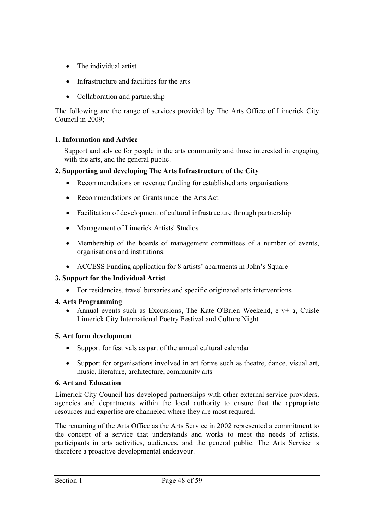- The individual artist
- Infrastructure and facilities for the arts
- Collaboration and partnership

The following are the range of services provided by The Arts Office of Limerick City Council in 2009;

# **1. Information and Advice**

Support and advice for people in the arts community and those interested in engaging with the arts, and the general public.

# **2. Supporting and developing The Arts Infrastructure of the City**

- Recommendations on revenue funding for established arts organisations
- Recommendations on Grants under the Arts Act
- Facilitation of development of cultural infrastructure through partnership
- Management of Limerick Artists' Studios
- Membership of the boards of management committees of a number of events, organisations and institutions.
- ACCESS Funding application for 8 artists' apartments in John's Square

# **3. Support for the Individual Artist**

For residencies, travel bursaries and specific originated arts interventions

#### **4. Arts Programming**

• Annual events such as Excursions, The Kate O'Brien Weekend, e  $v+$  a, Cuisle Limerick City International Poetry Festival and Culture Night

#### **5. Art form development**

- Support for festivals as part of the annual cultural calendar
- Support for organisations involved in art forms such as theatre, dance, visual art, music, literature, architecture, community arts

#### **6. Art and Education**

Limerick City Council has developed partnerships with other external service providers, agencies and departments within the local authority to ensure that the appropriate resources and expertise are channeled where they are most required.

The renaming of the Arts Office as the Arts Service in 2002 represented a commitment to the concept of a service that understands and works to meet the needs of artists, participants in arts activities, audiences, and the general public. The Arts Service is therefore a proactive developmental endeavour.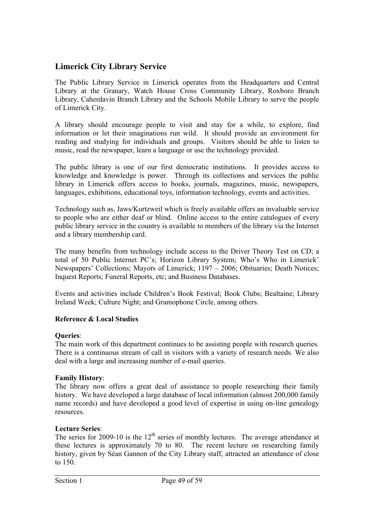# **Limerick City Library Service**

The Public Library Service in Limerick operates from the Headquarters and Central Library at the Granary, Watch House Cross Community Library, Roxboro Branch Library, Caherdavin Branch Library and the Schools Mobile Library to serve the people of Limerick City.

A library should encourage people to visit and stay for a while, to explore, find information or let their imaginations run wild. It should provide an environment for reading and studying for individuals and groups. Visitors should be able to listen to music, read the newspaper, learn a language or use the technology provided.

The public library is one of our first democratic institutions. It provides access to knowledge and knowledge is power. Through its collections and services the public library in Limerick offers access to books, journals, magazines, music, newspapers, languages, exhibitions, educational toys, information technology, events and activities.

Technology such as, Jaws/Kurtzweil which is freely available offers an invaluable service to people who are either deaf or blind. Online access to the entire catalogues of every public library service in the country is available to members of the library via the Internet and a library membership card.

The many benefits from technology include access to the Driver Theory Test on CD; a total of 50 Public Internet PC's; Horizon Library System; Who's Who in Limerick' Newspapers' Collections; Mayors of Limerick; 1197 – 2006; Obituaries; Death Notices; Inquest Reports; Funeral Reports, etc; and Business Databases.

Events and activities include Children's Book Festival; Book Clubs; Bealtaine; Library Ireland Week; Culture Night; and Gramophone Circle, among others.

# **Reference & Local Studies**

# **Queries**:

The main work of this department continues to be assisting people with research queries. There is a continuous stream of call in visitors with a variety of research needs. We also deal with a large and increasing number of e-mail queries.

# **Family History**:

The library now offers a great deal of assistance to people researching their family history. We have developed a large database of local information (almost 200,000 family name records) and have developed a good level of expertise in using on-line genealogy resources.

# **Lecture Series**:

The series for 2009-10 is the  $12<sup>th</sup>$  series of monthly lectures. The average attendance at these lectures is approximately 70 to 80. The recent lecture on researching family history, given by Séan Gannon of the City Library staff, attracted an attendance of close to 150.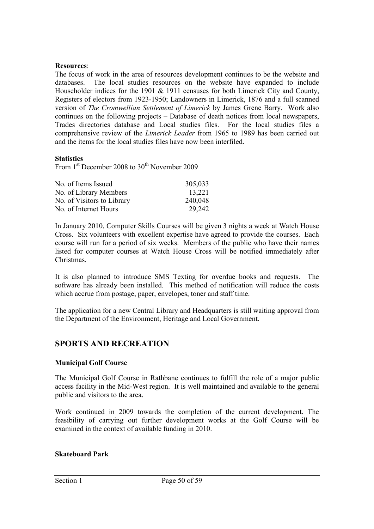#### **Resources**:

The focus of work in the area of resources development continues to be the website and databases. The local studies resources on the website have expanded to include Householder indices for the 1901 & 1911 censuses for both Limerick City and County, Registers of electors from 1923-1950; Landowners in Limerick, 1876 and a full scanned version of *The Cromwellian Settlement of Limerick* by James Grene Barry. Work also continues on the following projects – Database of death notices from local newspapers, Trades directories database and Local studies files. For the local studies files a comprehensive review of the *Limerick Leader* from 1965 to 1989 has been carried out and the items for the local studies files have now been interfiled.

#### **Statistics**

From 1<sup>st</sup> December 2008 to 30<sup>th</sup> November 2009

| No. of Items Issued        | 305,033 |
|----------------------------|---------|
| No. of Library Members     | 13,221  |
| No. of Visitors to Library | 240,048 |
| No. of Internet Hours      | 29,242  |

In January 2010, Computer Skills Courses will be given 3 nights a week at Watch House Cross. Six volunteers with excellent expertise have agreed to provide the courses. Each course will run for a period of six weeks. Members of the public who have their names listed for computer courses at Watch House Cross will be notified immediately after Christmas.

It is also planned to introduce SMS Texting for overdue books and requests. The software has already been installed. This method of notification will reduce the costs which accrue from postage, paper, envelopes, toner and staff time.

The application for a new Central Library and Headquarters is still waiting approval from the Department of the Environment, Heritage and Local Government.

# **SPORTS AND RECREATION**

#### **Municipal Golf Course**

The Municipal Golf Course in Rathbane continues to fulfill the role of a major public access facility in the Mid-West region. It is well maintained and available to the general public and visitors to the area.

Work continued in 2009 towards the completion of the current development. The feasibility of carrying out further development works at the Golf Course will be examined in the context of available funding in 2010.

#### **Skateboard Park**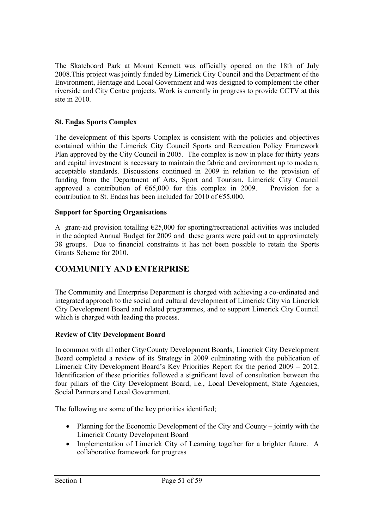The Skateboard Park at Mount Kennett was officially opened on the 18th of July 2008.This project was jointly funded by Limerick City Council and the Department of the Environment, Heritage and Local Government and was designed to complement the other riverside and City Centre projects. Work is currently in progress to provide CCTV at this site in 2010.

# **St. Endas Sports Complex**

The development of this Sports Complex is consistent with the policies and objectives contained within the Limerick City Council Sports and Recreation Policy Framework Plan approved by the City Council in 2005. The complex is now in place for thirty years and capital investment is necessary to maintain the fabric and environment up to modern, acceptable standards. Discussions continued in 2009 in relation to the provision of funding from the Department of Arts, Sport and Tourism. Limerick City Council approved a contribution of  $\epsilon$ 65,000 for this complex in 2009. Provision for a contribution to St. Endas has been included for 2010 of  $\epsilon$ 55,000.

# **Support for Sporting Organisations**

A grant-aid provision totalling  $E$ 25,000 for sporting/recreational activities was included in the adopted Annual Budget for 2009 and these grants were paid out to approximately 38 groups. Due to financial constraints it has not been possible to retain the Sports Grants Scheme for 2010.

# **COMMUNITY AND ENTERPRISE**

The Community and Enterprise Department is charged with achieving a co-ordinated and integrated approach to the social and cultural development of Limerick City via Limerick City Development Board and related programmes, and to support Limerick City Council which is charged with leading the process.

# **Review of City Development Board**

In common with all other City/County Development Boards, Limerick City Development Board completed a review of its Strategy in 2009 culminating with the publication of Limerick City Development Board's Key Priorities Report for the period 2009 – 2012. Identification of these priorities followed a significant level of consultation between the four pillars of the City Development Board, i.e., Local Development, State Agencies, Social Partners and Local Government.

The following are some of the key priorities identified;

- Planning for the Economic Development of the City and County jointly with the Limerick County Development Board
- Implementation of Limerick City of Learning together for a brighter future. A collaborative framework for progress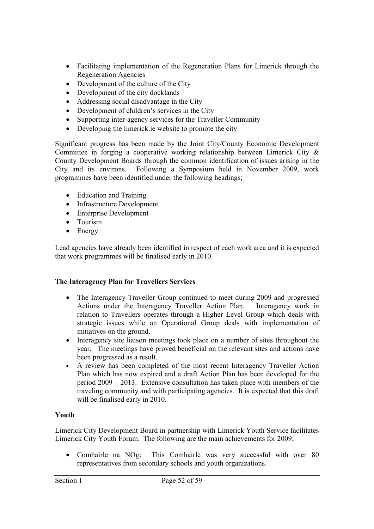- Facilitating implementation of the Regeneration Plans for Limerick through the Regeneration Agencies
- Development of the culture of the City
- Development of the city docklands
- Addressing social disadvantage in the City
- Development of children's services in the City
- Supporting inter-agency services for the Traveller Community
- Developing the limerick ie website to promote the city

Significant progress has been made by the Joint City/County Economic Development Committee in forging a cooperative working relationship between Limerick City & County Development Boards through the common identification of issues arising in the City and its environs. Following a Symposium held in November 2009, work programmes have been identified under the following headings;

- Education and Training
- Infrastructure Development
- Enterprise Development
- Tourism
- Energy

Lead agencies have already been identified in respect of each work area and it is expected that work programmes will be finalised early in 2010.

# **The Interagency Plan for Travellers Services**

- The Interagency Traveller Group continued to meet during 2009 and progressed Actions under the Interagency Traveller Action Plan. Interagency work in relation to Travellers operates through a Higher Level Group which deals with strategic issues while an Operational Group deals with implementation of initiatives on the ground.
- Interagency site liaison meetings took place on a number of sites throughout the year. The meetings have proved beneficial on the relevant sites and actions have been progressed as a result.
- A review has been completed of the most recent Interagency Traveller Action Plan which has now expired and a draft Action Plan has been developed for the period 2009 – 2013. Extensive consultation has taken place with members of the traveling community and with participating agencies. It is expected that this draft will be finalised early in 2010.

# **Youth**

Limerick City Development Board in partnership with Limerick Youth Service facilitates Limerick City Youth Forum. The following are the main achievements for 2009;

 Comhairle na NOg: This Comhairle was very successful with over 80 representatives from secondary schools and youth organizations.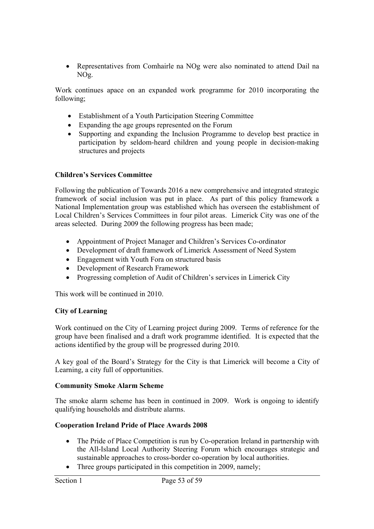Representatives from Comhairle na NOg were also nominated to attend Dail na NOg.

Work continues apace on an expanded work programme for 2010 incorporating the following;

- Establishment of a Youth Participation Steering Committee
- Expanding the age groups represented on the Forum
- Supporting and expanding the Inclusion Programme to develop best practice in participation by seldom-heard children and young people in decision-making structures and projects

# **Children's Services Committee**

Following the publication of Towards 2016 a new comprehensive and integrated strategic framework of social inclusion was put in place. As part of this policy framework a National Implementation group was established which has overseen the establishment of Local Children's Services Committees in four pilot areas. Limerick City was one of the areas selected. During 2009 the following progress has been made;

- Appointment of Project Manager and Children's Services Co-ordinator
- Development of draft framework of Limerick Assessment of Need System
- Engagement with Youth Fora on structured basis
- Development of Research Framework
- Progressing completion of Audit of Children's services in Limerick City

This work will be continued in 2010.

#### **City of Learning**

Work continued on the City of Learning project during 2009. Terms of reference for the group have been finalised and a draft work programme identified. It is expected that the actions identified by the group will be progressed during 2010.

A key goal of the Board's Strategy for the City is that Limerick will become a City of Learning, a city full of opportunities.

#### **Community Smoke Alarm Scheme**

The smoke alarm scheme has been in continued in 2009. Work is ongoing to identify qualifying households and distribute alarms.

#### **Cooperation Ireland Pride of Place Awards 2008**

- The Pride of Place Competition is run by Co-operation Ireland in partnership with the All-Island Local Authority Steering Forum which encourages strategic and sustainable approaches to cross-border co-operation by local authorities.
- Three groups participated in this competition in 2009, namely;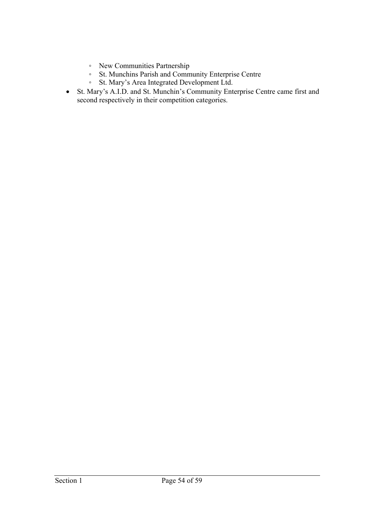- New Communities Partnership
- St. Munchins Parish and Community Enterprise Centre
- St. Mary's Area Integrated Development Ltd.
- St. Mary's A.I.D. and St. Munchin's Community Enterprise Centre came first and second respectively in their competition categories.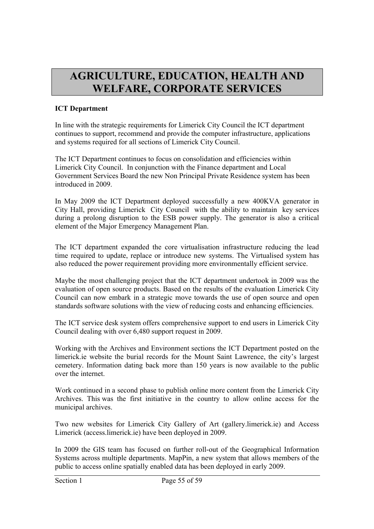# **AGRICULTURE, EDUCATION, HEALTH AND WELFARE, CORPORATE SERVICES**

# **ICT Department**

In line with the strategic requirements for Limerick City Council the ICT department continues to support, recommend and provide the computer infrastructure, applications and systems required for all sections of Limerick City Council.

The ICT Department continues to focus on consolidation and efficiencies within Limerick City Council. In conjunction with the Finance department and Local Government Services Board the new Non Principal Private Residence system has been introduced in 2009.

In May 2009 the ICT Department deployed successfully a new 400KVA generator in City Hall, providing Limerick City Council with the ability to maintain key services during a prolong disruption to the ESB power supply. The generator is also a critical element of the Major Emergency Management Plan.

The ICT department expanded the core virtualisation infrastructure reducing the lead time required to update, replace or introduce new systems. The Virtualised system has also reduced the power requirement providing more environmentally efficient service.

Maybe the most challenging project that the ICT department undertook in 2009 was the evaluation of open source products. Based on the results of the evaluation Limerick City Council can now embark in a strategic move towards the use of open source and open standards software solutions with the view of reducing costs and enhancing efficiencies.

The ICT service desk system offers comprehensive support to end users in Limerick City Council dealing with over 6,480 support request in 2009.

Working with the Archives and Environment sections the ICT Department posted on the limerick.ie website the burial records for the Mount Saint Lawrence, the city's largest cemetery. Information dating back more than 150 years is now available to the public over the internet.

Work continued in a second phase to publish online more content from the Limerick City Archives. This was the first initiative in the country to allow online access for the municipal archives.

Two new websites for Limerick City Gallery of Art (gallery.limerick.ie) and Access Limerick (access.limerick.ie) have been deployed in 2009.

In 2009 the GIS team has focused on further roll-out of the Geographical Information Systems across multiple departments. MapPin, a new system that allows members of the public to access online spatially enabled data has been deployed in early 2009.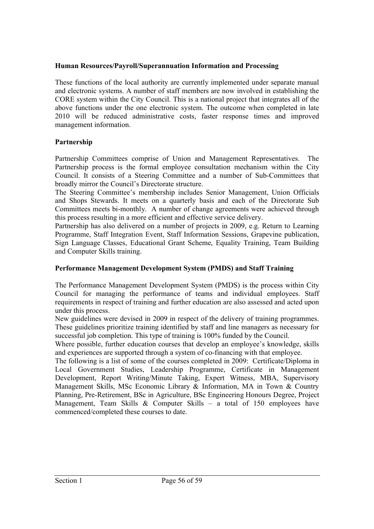# **Human Resources/Payroll/Superannuation Information and Processing**

These functions of the local authority are currently implemented under separate manual and electronic systems. A number of staff members are now involved in establishing the CORE system within the City Council. This is a national project that integrates all of the above functions under the one electronic system. The outcome when completed in late 2010 will be reduced administrative costs, faster response times and improved management information.

## **Partnership**

Partnership Committees comprise of Union and Management Representatives. The Partnership process is the formal employee consultation mechanism within the City Council. It consists of a Steering Committee and a number of Sub-Committees that broadly mirror the Council's Directorate structure.

The Steering Committee's membership includes Senior Management, Union Officials and Shops Stewards. It meets on a quarterly basis and each of the Directorate Sub Committees meets bi-monthly. A number of change agreements were achieved through this process resulting in a more efficient and effective service delivery.

Partnership has also delivered on a number of projects in 2009, e.g. Return to Learning Programme, Staff Integration Event, Staff Information Sessions, Grapevine publication, Sign Language Classes, Educational Grant Scheme, Equality Training, Team Building and Computer Skills training.

# **Performance Management Development System (PMDS) and Staff Training**

The Performance Management Development System (PMDS) is the process within City Council for managing the performance of teams and individual employees. Staff requirements in respect of training and further education are also assessed and acted upon under this process.

New guidelines were devised in 2009 in respect of the delivery of training programmes. These guidelines prioritize training identified by staff and line managers as necessary for successful job completion. This type of training is 100% funded by the Council.

Where possible, further education courses that develop an employee's knowledge, skills and experiences are supported through a system of co-financing with that employee.

The following is a list of some of the courses completed in 2009: Certificate/Diploma in Local Government Studies, Leadership Programme, Certificate in Management Development, Report Writing/Minute Taking, Expert Witness, MBA, Supervisory Management Skills, MSc Economic Library & Information, MA in Town & Country Planning, Pre-Retirement, BSc in Agriculture, BSc Engineering Honours Degree, Project Management, Team Skills & Computer Skills – a total of 150 employees have commenced/completed these courses to date.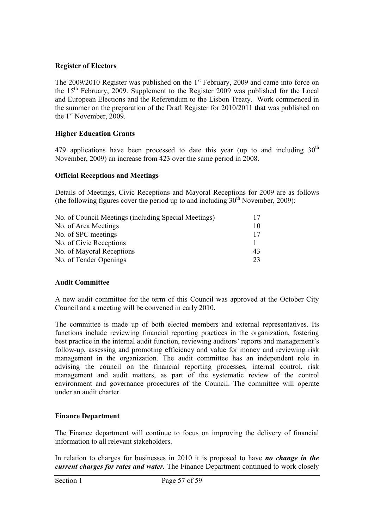## **Register of Electors**

The  $2009/2010$  Register was published on the  $1<sup>st</sup>$  February, 2009 and came into force on the  $15<sup>th</sup>$  February, 2009. Supplement to the Register 2009 was published for the Local and European Elections and the Referendum to the Lisbon Treaty. Work commenced in the summer on the preparation of the Draft Register for 2010/2011 that was published on the 1<sup>st</sup> November, 2009.

## **Higher Education Grants**

479 applications have been processed to date this year (up to and including  $30<sup>th</sup>$ November, 2009) an increase from 423 over the same period in 2008.

## **Official Receptions and Meetings**

Details of Meetings, Civic Receptions and Mayoral Receptions for 2009 are as follows (the following figures cover the period up to and including  $30<sup>th</sup>$  November, 2009):

| No. of Council Meetings (including Special Meetings) | 17 |
|------------------------------------------------------|----|
| No. of Area Meetings                                 | 10 |
| No. of SPC meetings                                  | 17 |
| No. of Civic Receptions                              |    |
| No. of Mayoral Receptions                            | 43 |
| No. of Tender Openings                               | 23 |

# **Audit Committee**

A new audit committee for the term of this Council was approved at the October City Council and a meeting will be convened in early 2010.

The committee is made up of both elected members and external representatives. Its functions include reviewing financial reporting practices in the organization, fostering best practice in the internal audit function, reviewing auditors' reports and management's follow-up, assessing and promoting efficiency and value for money and reviewing risk management in the organization. The audit committee has an independent role in advising the council on the financial reporting processes, internal control, risk management and audit matters, as part of the systematic review of the control environment and governance procedures of the Council. The committee will operate under an audit charter.

#### **Finance Department**

The Finance department will continue to focus on improving the delivery of financial information to all relevant stakeholders.

In relation to charges for businesses in 2010 it is proposed to have *no change in the current charges for rates and water.* The Finance Department continued to work closely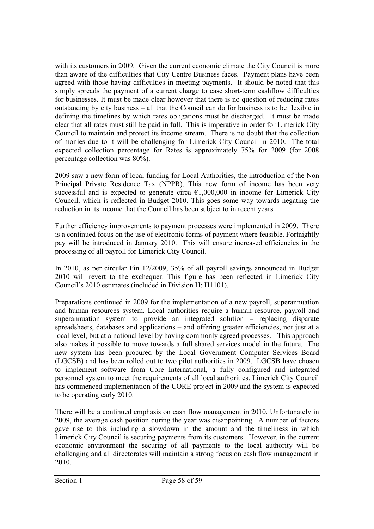with its customers in 2009. Given the current economic climate the City Council is more than aware of the difficulties that City Centre Business faces. Payment plans have been agreed with those having difficulties in meeting payments. It should be noted that this simply spreads the payment of a current charge to ease short-term cashflow difficulties for businesses. It must be made clear however that there is no question of reducing rates outstanding by city business – all that the Council can do for business is to be flexible in defining the timelines by which rates obligations must be discharged. It must be made clear that all rates must still be paid in full. This is imperative in order for Limerick City Council to maintain and protect its income stream. There is no doubt that the collection of monies due to it will be challenging for Limerick City Council in 2010. The total expected collection percentage for Rates is approximately 75% for 2009 (for 2008 percentage collection was 80%).

2009 saw a new form of local funding for Local Authorities, the introduction of the Non Principal Private Residence Tax (NPPR). This new form of income has been very successful and is expected to generate circa  $\epsilon$ 1,000,000 in income for Limerick City Council, which is reflected in Budget 2010. This goes some way towards negating the reduction in its income that the Council has been subject to in recent years.

Further efficiency improvements to payment processes were implemented in 2009. There is a continued focus on the use of electronic forms of payment where feasible. Fortnightly pay will be introduced in January 2010. This will ensure increased efficiencies in the processing of all payroll for Limerick City Council.

In 2010, as per circular Fin 12/2009, 35% of all payroll savings announced in Budget 2010 will revert to the exchequer. This figure has been reflected in Limerick City Council's 2010 estimates (included in Division H: H1101).

Preparations continued in 2009 for the implementation of a new payroll, superannuation and human resources system. Local authorities require a human resource, payroll and superannuation system to provide an integrated solution – replacing disparate spreadsheets, databases and applications – and offering greater efficiencies, not just at a local level, but at a national level by having commonly agreed processes. This approach also makes it possible to move towards a full shared services model in the future. The new system has been procured by the Local Government Computer Services Board (LGCSB) and has been rolled out to two pilot authorities in 2009. LGCSB have chosen to implement software from Core International, a fully configured and integrated personnel system to meet the requirements of all local authorities. Limerick City Council has commenced implementation of the CORE project in 2009 and the system is expected to be operating early 2010.

There will be a continued emphasis on cash flow management in 2010. Unfortunately in 2009, the average cash position during the year was disappointing. A number of factors gave rise to this including a slowdown in the amount and the timeliness in which Limerick City Council is securing payments from its customers. However, in the current economic environment the securing of all payments to the local authority will be challenging and all directorates will maintain a strong focus on cash flow management in 2010.